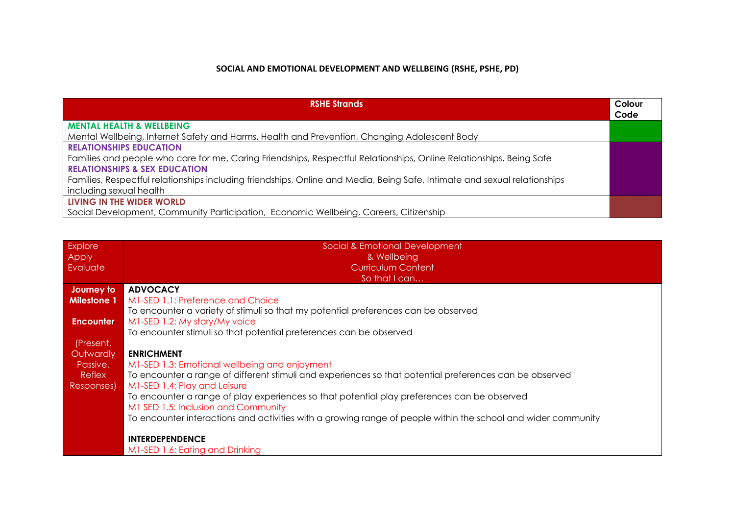# **SOCIAL AND EMOTIONAL DEVELOPMENT AND WELLBEING (RSHE, PSHE, PD)**

| <b>RSHE Strands</b>                                                                                                                                             | Colour<br>Code |
|-----------------------------------------------------------------------------------------------------------------------------------------------------------------|----------------|
| <b>MENTAL HEALTH &amp; WELLBEING</b>                                                                                                                            |                |
| Mental Wellbeing, Internet Safety and Harms, Health and Prevention, Changing Adolescent Body                                                                    |                |
| <b>RELATIONSHIPS EDUCATION</b>                                                                                                                                  |                |
| Families and people who care for me, Caring Friendships, Respectful Relationships, Online Relationships, Being Safe<br><b>RELATIONSHIPS &amp; SEX EDUCATION</b> |                |
| Families, Respectful relationships including friendships, Online and Media, Being Safe, Intimate and sexual relationships                                       |                |
| including sexual health                                                                                                                                         |                |
| LIVING IN THE WIDER WORLD                                                                                                                                       |                |
| Social Development, Community Participation, Economic Wellbeing, Careers, Citizenship                                                                           |                |

| <b>Explore</b><br>Apply | Social & Emotional Development<br>& Wellbeing                                                                 |
|-------------------------|---------------------------------------------------------------------------------------------------------------|
| Evaluate                | <b>Curriculum Content</b>                                                                                     |
|                         | So that I can                                                                                                 |
| Journey to              | <b>ADVOCACY</b>                                                                                               |
| <b>Milestone 1</b>      | M1-SED 1.1: Preference and Choice                                                                             |
|                         | To encounter a variety of stimuli so that my potential preferences can be observed                            |
| <b>Encounter</b>        | M1-SED 1.2: My story/My voice                                                                                 |
|                         | To encounter stimuli so that potential preferences can be observed                                            |
| (Present,               |                                                                                                               |
| Outwardly               | <b>ENRICHMENT</b>                                                                                             |
| Passive,                | M1-SED 1.3: Emotional wellbeing and enjoyment                                                                 |
| Reflex                  | To encounter a range of different stimuli and experiences so that potential preferences can be observed       |
| Responses)              | M1-SED 1.4: Play and Leisure                                                                                  |
|                         | To encounter a range of play experiences so that potential play preferences can be observed                   |
|                         | M1 SED 1.5: Inclusion and Community                                                                           |
|                         | To encounter interactions and activities with a growing range of people within the school and wider community |
|                         |                                                                                                               |
|                         | <b>INTERDEPENDENCE</b>                                                                                        |
|                         | M1-SED 1.6: Eating and Drinking                                                                               |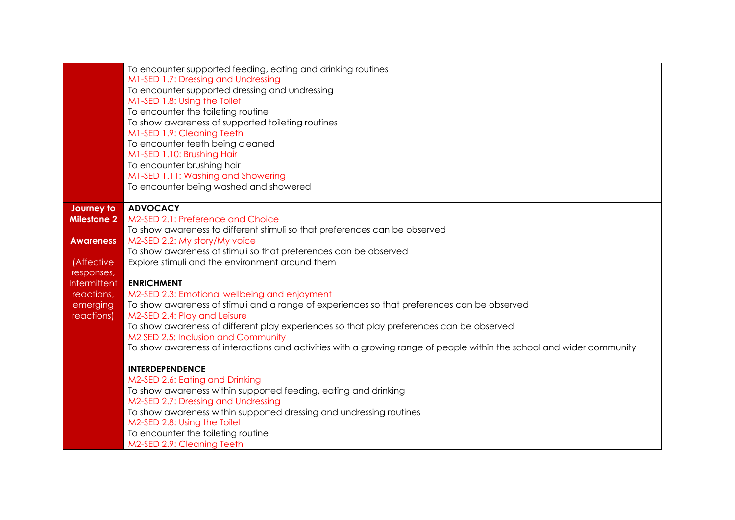|                    | To encounter supported feeding, eating and drinking routines                                                          |
|--------------------|-----------------------------------------------------------------------------------------------------------------------|
|                    | M1-SED 1.7: Dressing and Undressing                                                                                   |
|                    | To encounter supported dressing and undressing                                                                        |
|                    | M1-SED 1.8: Using the Toilet                                                                                          |
|                    | To encounter the toileting routine                                                                                    |
|                    | To show awareness of supported toileting routines                                                                     |
|                    | M1-SED 1.9: Cleaning Teeth                                                                                            |
|                    | To encounter teeth being cleaned                                                                                      |
|                    | M1-SED 1.10: Brushing Hair                                                                                            |
|                    | To encounter brushing hair                                                                                            |
|                    | M1-SED 1.11: Washing and Showering                                                                                    |
|                    | To encounter being washed and showered                                                                                |
|                    |                                                                                                                       |
| Journey to         | <b>ADVOCACY</b>                                                                                                       |
| <b>Milestone 2</b> | M2-SED 2.1: Preference and Choice                                                                                     |
|                    | To show awareness to different stimuli so that preferences can be observed                                            |
| <b>Awareness</b>   | M2-SED 2.2: My story/My voice                                                                                         |
|                    | To show awareness of stimuli so that preferences can be observed                                                      |
| (Affective         | Explore stimuli and the environment around them                                                                       |
| responses,         |                                                                                                                       |
| Intermittent       | <b>ENRICHMENT</b>                                                                                                     |
| reactions,         | M2-SED 2.3: Emotional wellbeing and enjoyment                                                                         |
| emerging           | To show awareness of stimuli and a range of experiences so that preferences can be observed                           |
| reactions)         | M2-SED 2.4: Play and Leisure                                                                                          |
|                    | To show awareness of different play experiences so that play preferences can be observed                              |
|                    | M2 SED 2.5: Inclusion and Community                                                                                   |
|                    | To show awareness of interactions and activities with a growing range of people within the school and wider community |
|                    | <b>INTERDEPENDENCE</b>                                                                                                |
|                    | M2-SED 2.6: Eating and Drinking                                                                                       |
|                    | To show awareness within supported feeding, eating and drinking                                                       |
|                    | M2-SED 2.7: Dressing and Undressing                                                                                   |
|                    | To show awareness within supported dressing and undressing routines                                                   |
|                    | M2-SED 2.8: Using the Toilet                                                                                          |
|                    | To encounter the toileting routine                                                                                    |
|                    | M2-SED 2.9: Cleaning Teeth                                                                                            |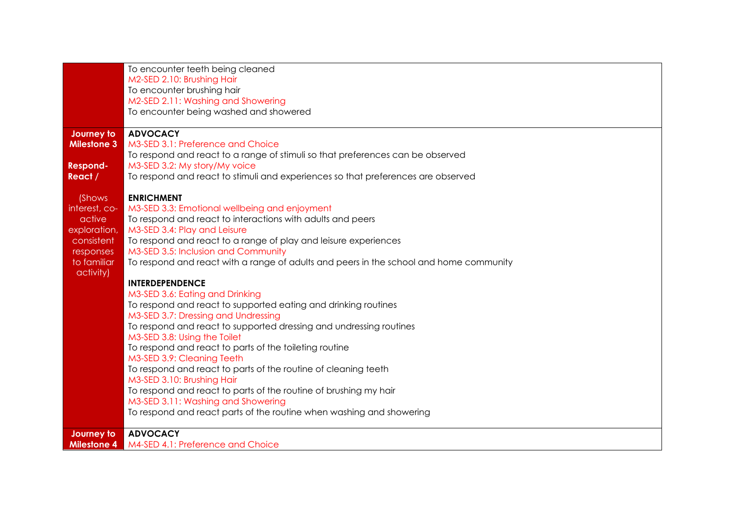|                          | To encounter teeth being cleaned                                                       |
|--------------------------|----------------------------------------------------------------------------------------|
|                          | M2-SED 2.10: Brushing Hair                                                             |
|                          | To encounter brushing hair                                                             |
|                          | M2-SED 2.11: Washing and Showering                                                     |
|                          | To encounter being washed and showered                                                 |
|                          |                                                                                        |
| Journey to               | <b>ADVOCACY</b>                                                                        |
| <b>Milestone 3</b>       | M3-SED 3.1: Preference and Choice                                                      |
|                          | To respond and react to a range of stimuli so that preferences can be observed         |
| <b>Respond-</b>          | M3-SED 3.2: My story/My voice                                                          |
| React /                  | To respond and react to stimuli and experiences so that preferences are observed       |
|                          |                                                                                        |
| (Shows                   | <b>ENRICHMENT</b>                                                                      |
| interest, co-            | M3-SED 3.3: Emotional wellbeing and enjoyment                                          |
| active                   | To respond and react to interactions with adults and peers                             |
| exploration,             | M3-SED 3.4: Play and Leisure                                                           |
| consistent               | To respond and react to a range of play and leisure experiences                        |
| responses<br>to familiar | M3-SED 3.5: Inclusion and Community                                                    |
| activity)                | To respond and react with a range of adults and peers in the school and home community |
|                          | <b>INTERDEPENDENCE</b>                                                                 |
|                          | M3-SED 3.6: Eating and Drinking                                                        |
|                          | To respond and react to supported eating and drinking routines                         |
|                          | M3-SED 3.7: Dressing and Undressing                                                    |
|                          | To respond and react to supported dressing and undressing routines                     |
|                          | M3-SED 3.8: Using the Toilet                                                           |
|                          | To respond and react to parts of the toileting routine                                 |
|                          | M3-SED 3.9: Cleaning Teeth                                                             |
|                          | To respond and react to parts of the routine of cleaning teeth                         |
|                          | M3-SED 3.10: Brushing Hair                                                             |
|                          | To respond and react to parts of the routine of brushing my hair                       |
|                          | M3-SED 3.11: Washing and Showering                                                     |
|                          | To respond and react parts of the routine when washing and showering                   |
| Journey to               | <b>ADVOCACY</b>                                                                        |
| <b>Milestone 4</b>       | M4-SED 4.1: Preference and Choice                                                      |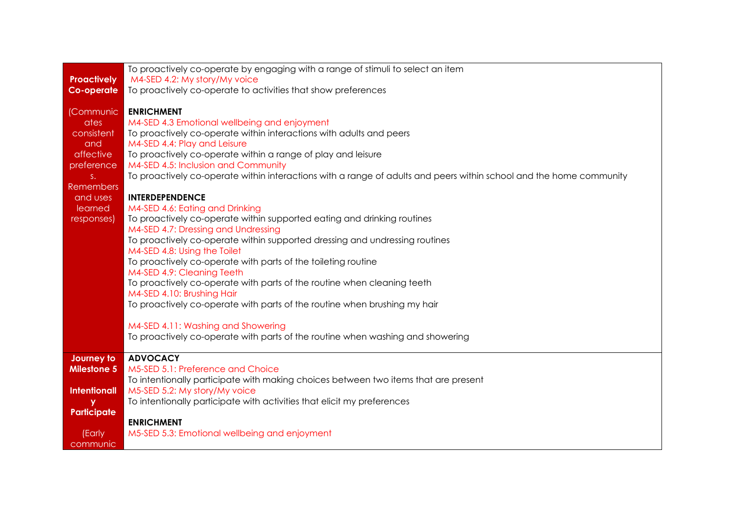|                     | To proactively co-operate by engaging with a range of stimuli to select an item                                     |
|---------------------|---------------------------------------------------------------------------------------------------------------------|
| <b>Proactively</b>  | M4-SED 4.2: My story/My voice                                                                                       |
| <b>Co-operate</b>   | To proactively co-operate to activities that show preferences                                                       |
|                     |                                                                                                                     |
| (Communic<br>ates   | <b>ENRICHMENT</b><br>M4-SED 4.3 Emotional wellbeing and enjoyment                                                   |
| consistent          | To proactively co-operate within interactions with adults and peers                                                 |
| and                 | M4-SED 4.4: Play and Leisure                                                                                        |
| affective           | To proactively co-operate within a range of play and leisure                                                        |
| preference          | M4-SED 4.5: Inclusion and Community                                                                                 |
| $S+$                | To proactively co-operate within interactions with a range of adults and peers within school and the home community |
| Remembers           |                                                                                                                     |
| and uses            | <b>INTERDEPENDENCE</b>                                                                                              |
| learned             | M4-SED 4.6: Eating and Drinking                                                                                     |
| responses)          | To proactively co-operate within supported eating and drinking routines                                             |
|                     | M4-SED 4.7: Dressing and Undressing                                                                                 |
|                     | To proactively co-operate within supported dressing and undressing routines                                         |
|                     | M4-SED 4.8: Using the Toilet                                                                                        |
|                     | To proactively co-operate with parts of the toileting routine                                                       |
|                     | M4-SED 4.9: Cleaning Teeth                                                                                          |
|                     | To proactively co-operate with parts of the routine when cleaning teeth                                             |
|                     | M4-SED 4.10: Brushing Hair                                                                                          |
|                     | To proactively co-operate with parts of the routine when brushing my hair                                           |
|                     | M4-SED 4.11: Washing and Showering                                                                                  |
|                     | To proactively co-operate with parts of the routine when washing and showering                                      |
|                     |                                                                                                                     |
| Journey to          | <b>ADVOCACY</b>                                                                                                     |
| <b>Milestone 5</b>  | M5-SED 5.1: Preference and Choice                                                                                   |
|                     | To intentionally participate with making choices between two items that are present                                 |
| <b>Intentionall</b> | M5-SED 5.2: My story/My voice                                                                                       |
| y                   | To intentionally participate with activities that elicit my preferences                                             |
| Participate         |                                                                                                                     |
|                     | <b>ENRICHMENT</b>                                                                                                   |
| (Early              | M5-SED 5.3: Emotional wellbeing and enjoyment                                                                       |
| communic            |                                                                                                                     |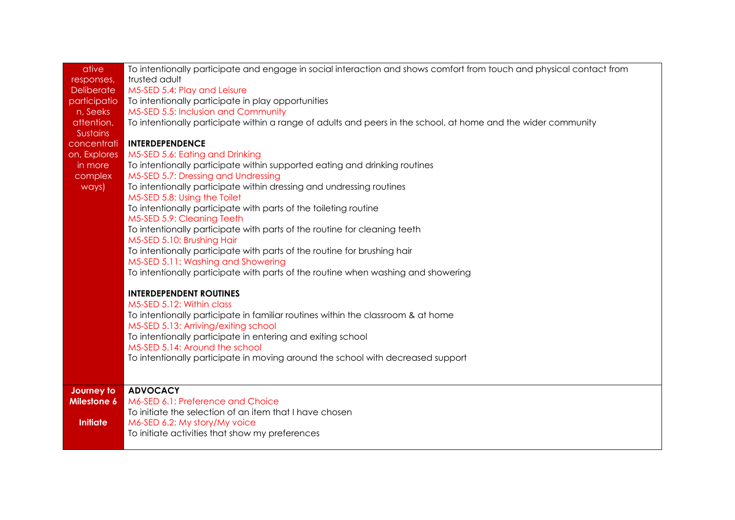| ative             | To intentionally participate and engage in social interaction and shows comfort from touch and physical contact from |
|-------------------|----------------------------------------------------------------------------------------------------------------------|
| responses,        | trusted adult                                                                                                        |
| <b>Deliberate</b> | M5-SED 5.4: Play and Leisure                                                                                         |
| participatio      | To intentionally participate in play opportunities                                                                   |
| n, Seeks          | M5-SED 5.5: Inclusion and Community                                                                                  |
| attention,        | To intentionally participate within a range of adults and peers in the school, at home and the wider community       |
| <b>Sustains</b>   |                                                                                                                      |
| concentrati       | <b>INTERDEPENDENCE</b>                                                                                               |
| on, Explores      | M5-SED 5.6: Eating and Drinking                                                                                      |
| in more           | To intentionally participate within supported eating and drinking routines                                           |
| complex           | M5-SED 5.7: Dressing and Undressing                                                                                  |
| ways)             | To intentionally participate within dressing and undressing routines                                                 |
|                   | M5-SED 5.8: Using the Toilet                                                                                         |
|                   | To intentionally participate with parts of the toileting routine                                                     |
|                   | M5-SED 5.9: Cleaning Teeth                                                                                           |
|                   | To intentionally participate with parts of the routine for cleaning teeth                                            |
|                   | M5-SED 5.10: Brushing Hair                                                                                           |
|                   | To intentionally participate with parts of the routine for brushing hair                                             |
|                   | M5-SED 5.11: Washing and Showering                                                                                   |
|                   | To intentionally participate with parts of the routine when washing and showering                                    |
|                   | <b>INTERDEPENDENT ROUTINES</b>                                                                                       |
|                   | M5-SED 5.12: Within class                                                                                            |
|                   | To intentionally participate in familiar routines within the classroom & at home                                     |
|                   | M5-SED 5.13: Arriving/exiting school                                                                                 |
|                   | To intentionally participate in entering and exiting school                                                          |
|                   | M5-SED 5.14: Around the school                                                                                       |
|                   | To intentionally participate in moving around the school with decreased support                                      |
|                   |                                                                                                                      |
| Journey to        | <b>ADVOCACY</b>                                                                                                      |
| Milestone 6       | M6-SED 6.1: Preference and Choice                                                                                    |
|                   | To initiate the selection of an item that I have chosen                                                              |
| <b>Initiate</b>   | M6-SED 6.2: My story/My voice                                                                                        |
|                   | To initiate activities that show my preferences                                                                      |
|                   |                                                                                                                      |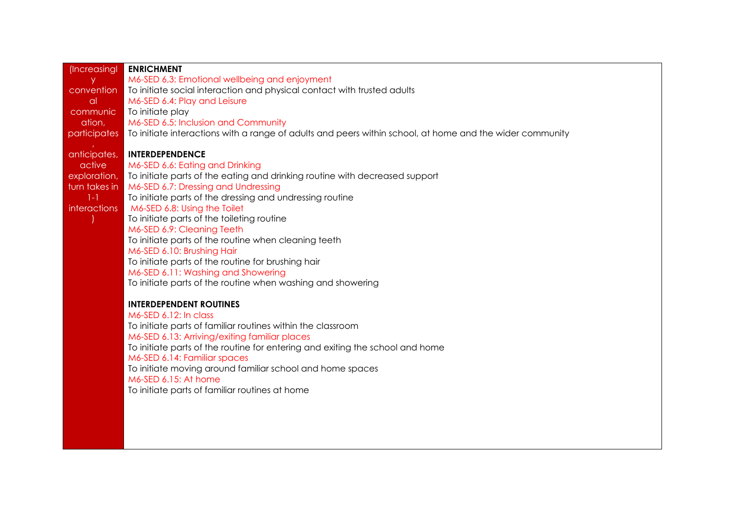| (Increasingl        | <b>ENRICHMENT</b>                                                                                                     |
|---------------------|-----------------------------------------------------------------------------------------------------------------------|
|                     |                                                                                                                       |
| y.                  | M6-SED 6,3: Emotional wellbeing and enjoyment                                                                         |
| convention          | To initiate social interaction and physical contact with trusted adults                                               |
| <sub>a</sub>        | M6-SED 6.4: Play and Leisure                                                                                          |
| communic            | To initiate play                                                                                                      |
| ation,              | M6-SED 6.5: Inclusion and Community                                                                                   |
|                     | participates To initiate interactions with a range of adults and peers within school, at home and the wider community |
|                     |                                                                                                                       |
| anticipates,        | <b>INTERDEPENDENCE</b>                                                                                                |
| active              | M6-SED 6.6: Eating and Drinking                                                                                       |
| exploration,        | To initiate parts of the eating and drinking routine with decreased support                                           |
| turn takes in       | M6-SED 6.7: Dressing and Undressing                                                                                   |
| $1-1$               | To initiate parts of the dressing and undressing routine                                                              |
| <i>interactions</i> | M6-SED 6.8: Using the Toilet                                                                                          |
|                     | To initiate parts of the toileting routine                                                                            |
|                     | M6-SED 6.9: Cleaning Teeth                                                                                            |
|                     | To initiate parts of the routine when cleaning teeth                                                                  |
|                     | M6-SED 6.10: Brushing Hair                                                                                            |
|                     | To initiate parts of the routine for brushing hair                                                                    |
|                     | M6-SED 6.11: Washing and Showering                                                                                    |
|                     | To initiate parts of the routine when washing and showering                                                           |
|                     |                                                                                                                       |
|                     | <b>INTERDEPENDENT ROUTINES</b>                                                                                        |
|                     | M6-SED 6.12: In class                                                                                                 |
|                     | To initiate parts of familiar routines within the classroom                                                           |
|                     | M6-SED 6.13: Arriving/exiting familiar places                                                                         |
|                     |                                                                                                                       |
|                     | To initiate parts of the routine for entering and exiting the school and home                                         |
|                     | M6-SED 6.14: Familiar spaces                                                                                          |
|                     | To initiate moving around familiar school and home spaces                                                             |
|                     | M6-SED 6.15: At home                                                                                                  |
|                     | To initiate parts of familiar routines at home                                                                        |
|                     |                                                                                                                       |
|                     |                                                                                                                       |
|                     |                                                                                                                       |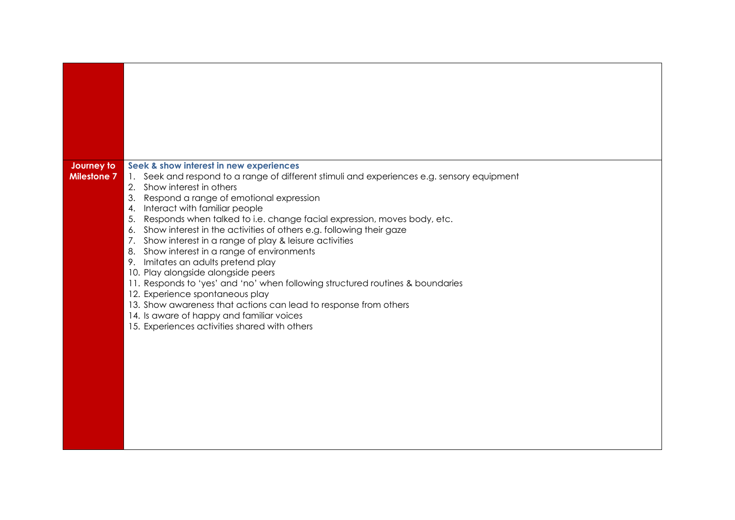| Journey to<br><b>Milestone 7</b> | Seek & show interest in new experiences<br>1. Seek and respond to a range of different stimuli and experiences e.g. sensory equipment<br>2. Show interest in others<br>Respond a range of emotional expression<br>3.<br>Interact with familiar people<br>4.<br>Responds when talked to i.e. change facial expression, moves body, etc.<br>5.<br>Show interest in the activities of others e.g. following their gaze<br>6.<br>Show interest in a range of play & leisure activities<br>7.<br>Show interest in a range of environments<br>8.<br>9. Imitates an adults pretend play<br>10. Play alongside alongside peers<br>11. Responds to 'yes' and 'no' when following structured routines & boundaries<br>12. Experience spontaneous play<br>13. Show awareness that actions can lead to response from others<br>14. Is aware of happy and familiar voices<br>15. Experiences activities shared with others |
|----------------------------------|---------------------------------------------------------------------------------------------------------------------------------------------------------------------------------------------------------------------------------------------------------------------------------------------------------------------------------------------------------------------------------------------------------------------------------------------------------------------------------------------------------------------------------------------------------------------------------------------------------------------------------------------------------------------------------------------------------------------------------------------------------------------------------------------------------------------------------------------------------------------------------------------------------------|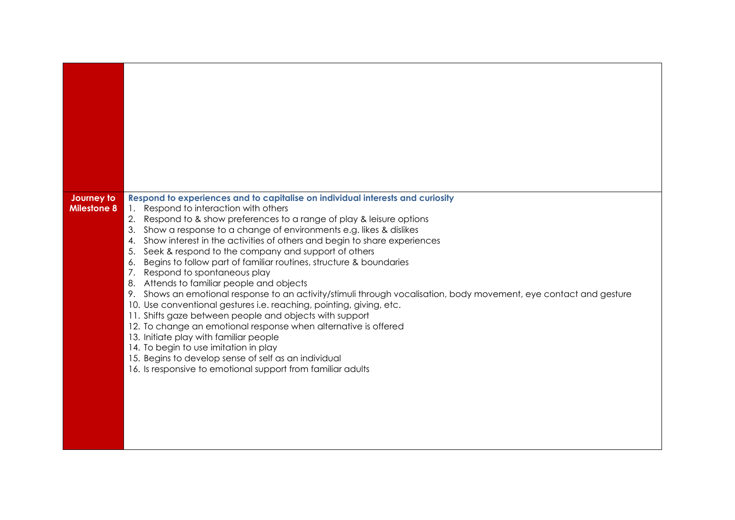| Journey to<br><b>Milestone 8</b> | Respond to experiences and to capitalise on individual interests and curiosity<br>1. Respond to interaction with others<br>2. Respond to & show preferences to a range of play & leisure options<br>Show a response to a change of environments e.g. likes & dislikes<br>3.<br>Show interest in the activities of others and begin to share experiences<br>4.<br>Seek & respond to the company and support of others<br>5.<br>Begins to follow part of familiar routines, structure & boundaries<br>6.<br>7.<br>Respond to spontaneous play<br>8. Attends to familiar people and objects<br>9. Shows an emotional response to an activity/stimuli through vocalisation, body movement, eye contact and gesture<br>10. Use conventional gestures i.e. reaching, pointing, giving, etc.<br>11. Shifts gaze between people and objects with support<br>12. To change an emotional response when alternative is offered<br>13. Initiate play with familiar people<br>14. To begin to use imitation in play<br>15. Begins to develop sense of self as an individual<br>16. Is responsive to emotional support from familiar adults |
|----------------------------------|-------------------------------------------------------------------------------------------------------------------------------------------------------------------------------------------------------------------------------------------------------------------------------------------------------------------------------------------------------------------------------------------------------------------------------------------------------------------------------------------------------------------------------------------------------------------------------------------------------------------------------------------------------------------------------------------------------------------------------------------------------------------------------------------------------------------------------------------------------------------------------------------------------------------------------------------------------------------------------------------------------------------------------------------------------------------------------------------------------------------------------|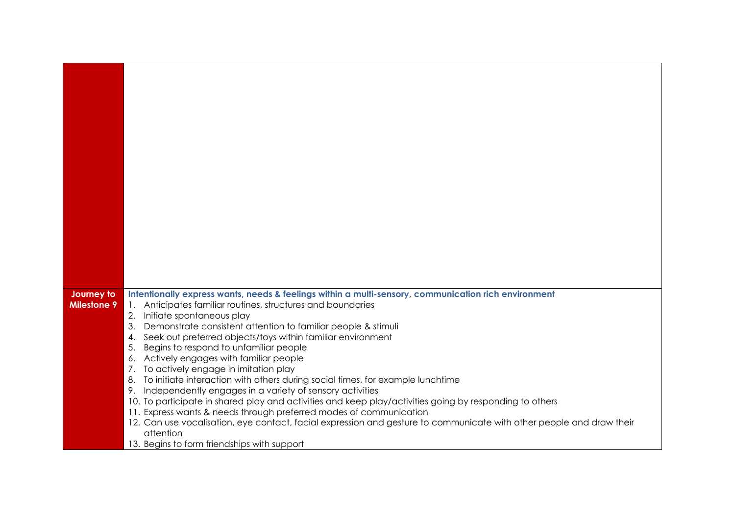| Journey to         | Intentionally express wants, needs & feelings within a multi-sensory, communication rich environment                               |
|--------------------|------------------------------------------------------------------------------------------------------------------------------------|
| <b>Milestone 9</b> | 1. Anticipates familiar routines, structures and boundaries                                                                        |
|                    | 2.<br>Initiate spontaneous play                                                                                                    |
|                    | 3.<br>Demonstrate consistent attention to familiar people & stimuli                                                                |
|                    | Seek out preferred objects/toys within familiar environment<br>4.                                                                  |
|                    | Begins to respond to unfamiliar people<br>5.                                                                                       |
|                    | Actively engages with familiar people<br>6.                                                                                        |
|                    | 7.<br>To actively engage in imitation play<br>To initiate interaction with others during social times, for example lunchtime<br>8. |
|                    | Independently engages in a variety of sensory activities<br>9.                                                                     |
|                    | 10. To participate in shared play and activities and keep play/activities going by responding to others                            |
|                    | 11. Express wants & needs through preferred modes of communication                                                                 |
|                    | 12. Can use vocalisation, eye contact, facial expression and gesture to communicate with other people and draw their               |
|                    | attention                                                                                                                          |
|                    | 13. Begins to form friendships with support                                                                                        |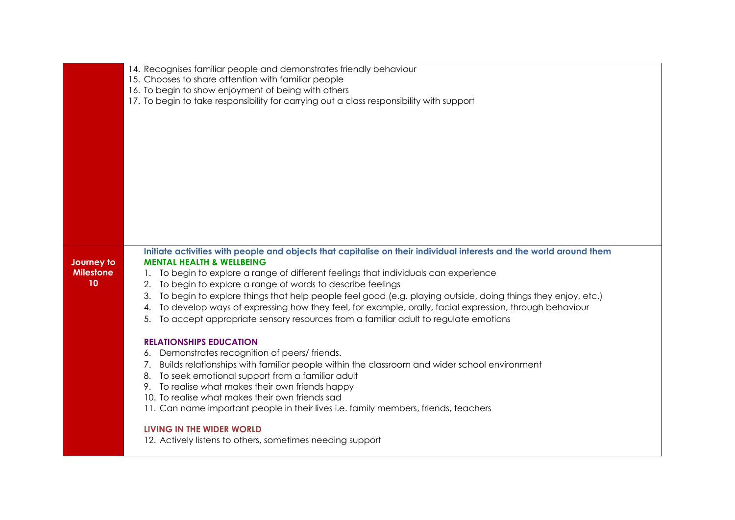|                  | 14. Recognises familiar people and demonstrates friendly behaviour                                                  |
|------------------|---------------------------------------------------------------------------------------------------------------------|
|                  | 15. Chooses to share attention with familiar people                                                                 |
|                  | 16. To begin to show enjoyment of being with others                                                                 |
|                  | 17. To begin to take responsibility for carrying out a class responsibility with support                            |
|                  |                                                                                                                     |
|                  |                                                                                                                     |
|                  |                                                                                                                     |
|                  |                                                                                                                     |
|                  |                                                                                                                     |
|                  |                                                                                                                     |
|                  |                                                                                                                     |
|                  |                                                                                                                     |
|                  |                                                                                                                     |
|                  |                                                                                                                     |
|                  |                                                                                                                     |
|                  |                                                                                                                     |
|                  | Initiate activities with people and objects that capitalise on their individual interests and the world around them |
| Journey to       | <b>MENTAL HEALTH &amp; WELLBEING</b>                                                                                |
| <b>Milestone</b> | 1. To begin to explore a range of different feelings that individuals can experience                                |
| 10               | 2. To begin to explore a range of words to describe feelings                                                        |
|                  | 3. To begin to explore things that help people feel good (e.g. playing outside, doing things they enjoy, etc.)      |
|                  | 4. To develop ways of expressing how they feel, for example, orally, facial expression, through behaviour           |
|                  | To accept appropriate sensory resources from a familiar adult to regulate emotions<br>5.                            |
|                  |                                                                                                                     |
|                  | <b>RELATIONSHIPS EDUCATION</b>                                                                                      |
|                  | 6. Demonstrates recognition of peers/friends.                                                                       |
|                  | 7. Builds relationships with familiar people within the classroom and wider school environment                      |
|                  | 8. To seek emotional support from a familiar adult                                                                  |
|                  | 9. To realise what makes their own friends happy                                                                    |
|                  | 10. To realise what makes their own friends sad                                                                     |
|                  | 11. Can name important people in their lives i.e. family members, friends, teachers                                 |
|                  |                                                                                                                     |
|                  | LIVING IN THE WIDER WORLD                                                                                           |
|                  | 12. Actively listens to others, sometimes needing support                                                           |
|                  |                                                                                                                     |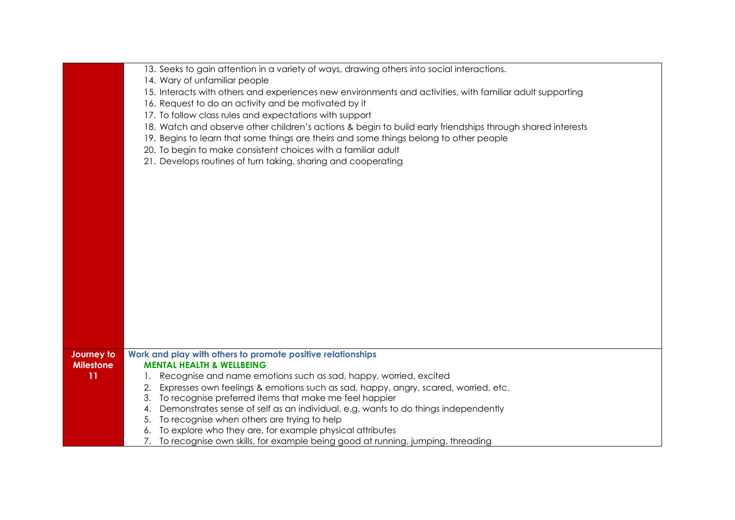| 13. Seeks to gain attention in a variety of ways, drawing others into social interactions.<br>14. Wary of unfamiliar people<br>15. Interacts with others and experiences new environments and activities, with familiar adult supporting<br>16. Request to do an activity and be motivated by it<br>17. To follow class rules and expectations with support<br>18. Watch and observe other children's actions & begin to build early friendships through shared interests<br>19. Begins to learn that some things are theirs and some things belong to other people<br>20. To begin to make consistent choices with a familiar adult<br>21. Develops routines of turn taking, sharing and cooperating<br>Work and play with others to promote positive relationships<br>Journey to<br><b>MENTAL HEALTH &amp; WELLBEING</b><br><b>Milestone</b><br>11<br>Recognise and name emotions such as sad, happy, worried, excited<br>Expresses own feelings & emotions such as sad, happy, angry, scared, worried, etc.<br>2.<br>3. To recognise preferred items that make me feel happier<br>Demonstrates sense of self as an individual, e.g. wants to do things independently<br>4.<br>5. To recognise when others are trying to help<br>6. To explore who they are, for example physical attributes |                                                                                   |
|------------------------------------------------------------------------------------------------------------------------------------------------------------------------------------------------------------------------------------------------------------------------------------------------------------------------------------------------------------------------------------------------------------------------------------------------------------------------------------------------------------------------------------------------------------------------------------------------------------------------------------------------------------------------------------------------------------------------------------------------------------------------------------------------------------------------------------------------------------------------------------------------------------------------------------------------------------------------------------------------------------------------------------------------------------------------------------------------------------------------------------------------------------------------------------------------------------------------------------------------------------------------------------------------|-----------------------------------------------------------------------------------|
|                                                                                                                                                                                                                                                                                                                                                                                                                                                                                                                                                                                                                                                                                                                                                                                                                                                                                                                                                                                                                                                                                                                                                                                                                                                                                                |                                                                                   |
|                                                                                                                                                                                                                                                                                                                                                                                                                                                                                                                                                                                                                                                                                                                                                                                                                                                                                                                                                                                                                                                                                                                                                                                                                                                                                                |                                                                                   |
|                                                                                                                                                                                                                                                                                                                                                                                                                                                                                                                                                                                                                                                                                                                                                                                                                                                                                                                                                                                                                                                                                                                                                                                                                                                                                                |                                                                                   |
|                                                                                                                                                                                                                                                                                                                                                                                                                                                                                                                                                                                                                                                                                                                                                                                                                                                                                                                                                                                                                                                                                                                                                                                                                                                                                                |                                                                                   |
|                                                                                                                                                                                                                                                                                                                                                                                                                                                                                                                                                                                                                                                                                                                                                                                                                                                                                                                                                                                                                                                                                                                                                                                                                                                                                                |                                                                                   |
|                                                                                                                                                                                                                                                                                                                                                                                                                                                                                                                                                                                                                                                                                                                                                                                                                                                                                                                                                                                                                                                                                                                                                                                                                                                                                                |                                                                                   |
|                                                                                                                                                                                                                                                                                                                                                                                                                                                                                                                                                                                                                                                                                                                                                                                                                                                                                                                                                                                                                                                                                                                                                                                                                                                                                                |                                                                                   |
|                                                                                                                                                                                                                                                                                                                                                                                                                                                                                                                                                                                                                                                                                                                                                                                                                                                                                                                                                                                                                                                                                                                                                                                                                                                                                                |                                                                                   |
|                                                                                                                                                                                                                                                                                                                                                                                                                                                                                                                                                                                                                                                                                                                                                                                                                                                                                                                                                                                                                                                                                                                                                                                                                                                                                                |                                                                                   |
|                                                                                                                                                                                                                                                                                                                                                                                                                                                                                                                                                                                                                                                                                                                                                                                                                                                                                                                                                                                                                                                                                                                                                                                                                                                                                                |                                                                                   |
|                                                                                                                                                                                                                                                                                                                                                                                                                                                                                                                                                                                                                                                                                                                                                                                                                                                                                                                                                                                                                                                                                                                                                                                                                                                                                                |                                                                                   |
|                                                                                                                                                                                                                                                                                                                                                                                                                                                                                                                                                                                                                                                                                                                                                                                                                                                                                                                                                                                                                                                                                                                                                                                                                                                                                                |                                                                                   |
|                                                                                                                                                                                                                                                                                                                                                                                                                                                                                                                                                                                                                                                                                                                                                                                                                                                                                                                                                                                                                                                                                                                                                                                                                                                                                                |                                                                                   |
|                                                                                                                                                                                                                                                                                                                                                                                                                                                                                                                                                                                                                                                                                                                                                                                                                                                                                                                                                                                                                                                                                                                                                                                                                                                                                                |                                                                                   |
|                                                                                                                                                                                                                                                                                                                                                                                                                                                                                                                                                                                                                                                                                                                                                                                                                                                                                                                                                                                                                                                                                                                                                                                                                                                                                                |                                                                                   |
|                                                                                                                                                                                                                                                                                                                                                                                                                                                                                                                                                                                                                                                                                                                                                                                                                                                                                                                                                                                                                                                                                                                                                                                                                                                                                                |                                                                                   |
|                                                                                                                                                                                                                                                                                                                                                                                                                                                                                                                                                                                                                                                                                                                                                                                                                                                                                                                                                                                                                                                                                                                                                                                                                                                                                                |                                                                                   |
|                                                                                                                                                                                                                                                                                                                                                                                                                                                                                                                                                                                                                                                                                                                                                                                                                                                                                                                                                                                                                                                                                                                                                                                                                                                                                                |                                                                                   |
|                                                                                                                                                                                                                                                                                                                                                                                                                                                                                                                                                                                                                                                                                                                                                                                                                                                                                                                                                                                                                                                                                                                                                                                                                                                                                                |                                                                                   |
|                                                                                                                                                                                                                                                                                                                                                                                                                                                                                                                                                                                                                                                                                                                                                                                                                                                                                                                                                                                                                                                                                                                                                                                                                                                                                                |                                                                                   |
|                                                                                                                                                                                                                                                                                                                                                                                                                                                                                                                                                                                                                                                                                                                                                                                                                                                                                                                                                                                                                                                                                                                                                                                                                                                                                                |                                                                                   |
|                                                                                                                                                                                                                                                                                                                                                                                                                                                                                                                                                                                                                                                                                                                                                                                                                                                                                                                                                                                                                                                                                                                                                                                                                                                                                                |                                                                                   |
|                                                                                                                                                                                                                                                                                                                                                                                                                                                                                                                                                                                                                                                                                                                                                                                                                                                                                                                                                                                                                                                                                                                                                                                                                                                                                                |                                                                                   |
|                                                                                                                                                                                                                                                                                                                                                                                                                                                                                                                                                                                                                                                                                                                                                                                                                                                                                                                                                                                                                                                                                                                                                                                                                                                                                                |                                                                                   |
|                                                                                                                                                                                                                                                                                                                                                                                                                                                                                                                                                                                                                                                                                                                                                                                                                                                                                                                                                                                                                                                                                                                                                                                                                                                                                                |                                                                                   |
|                                                                                                                                                                                                                                                                                                                                                                                                                                                                                                                                                                                                                                                                                                                                                                                                                                                                                                                                                                                                                                                                                                                                                                                                                                                                                                |                                                                                   |
|                                                                                                                                                                                                                                                                                                                                                                                                                                                                                                                                                                                                                                                                                                                                                                                                                                                                                                                                                                                                                                                                                                                                                                                                                                                                                                |                                                                                   |
|                                                                                                                                                                                                                                                                                                                                                                                                                                                                                                                                                                                                                                                                                                                                                                                                                                                                                                                                                                                                                                                                                                                                                                                                                                                                                                |                                                                                   |
|                                                                                                                                                                                                                                                                                                                                                                                                                                                                                                                                                                                                                                                                                                                                                                                                                                                                                                                                                                                                                                                                                                                                                                                                                                                                                                |                                                                                   |
|                                                                                                                                                                                                                                                                                                                                                                                                                                                                                                                                                                                                                                                                                                                                                                                                                                                                                                                                                                                                                                                                                                                                                                                                                                                                                                |                                                                                   |
|                                                                                                                                                                                                                                                                                                                                                                                                                                                                                                                                                                                                                                                                                                                                                                                                                                                                                                                                                                                                                                                                                                                                                                                                                                                                                                |                                                                                   |
|                                                                                                                                                                                                                                                                                                                                                                                                                                                                                                                                                                                                                                                                                                                                                                                                                                                                                                                                                                                                                                                                                                                                                                                                                                                                                                |                                                                                   |
|                                                                                                                                                                                                                                                                                                                                                                                                                                                                                                                                                                                                                                                                                                                                                                                                                                                                                                                                                                                                                                                                                                                                                                                                                                                                                                |                                                                                   |
|                                                                                                                                                                                                                                                                                                                                                                                                                                                                                                                                                                                                                                                                                                                                                                                                                                                                                                                                                                                                                                                                                                                                                                                                                                                                                                |                                                                                   |
|                                                                                                                                                                                                                                                                                                                                                                                                                                                                                                                                                                                                                                                                                                                                                                                                                                                                                                                                                                                                                                                                                                                                                                                                                                                                                                | 7. To recognise own skills, for example being good at running, jumping, threading |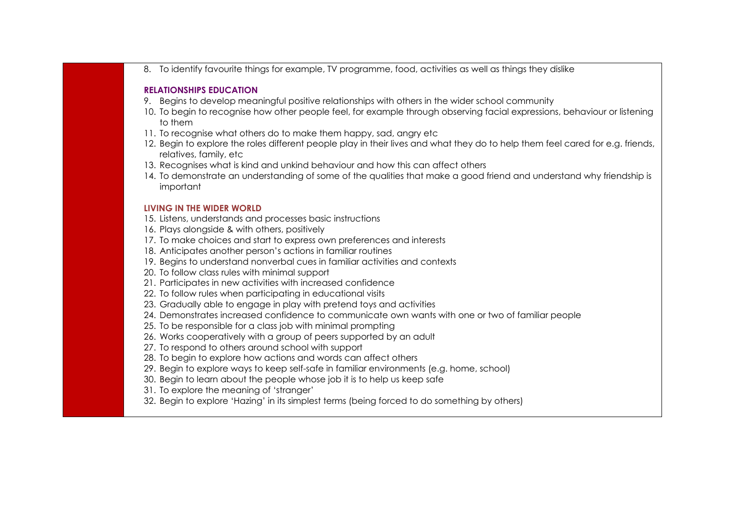8. To identify favourite things for example, TV programme, food, activities as well as things they dislike

#### **RELATIONSHIPS EDUCATION**

- 9. Begins to develop meaningful positive relationships with others in the wider school community
- 10. To begin to recognise how other people feel, for example through observing facial expressions, behaviour or listening to them
- 11. To recognise what others do to make them happy, sad, angry etc
- 12. Begin to explore the roles different people play in their lives and what they do to help them feel cared for e.g. friends, relatives, family, etc
- 13. Recognises what is kind and unkind behaviour and how this can affect others
- 14. To demonstrate an understanding of some of the qualities that make a good friend and understand why friendship is important

- 15. Listens, understands and processes basic instructions
- 16. Plays alongside & with others, positively
- 17. To make choices and start to express own preferences and interests
- 18. Anticipates another person's actions in familiar routines
- 19. Begins to understand nonverbal cues in familiar activities and contexts
- 20. To follow class rules with minimal support
- 21. Participates in new activities with increased confidence
- 22. To follow rules when participating in educational visits
- 23. Gradually able to engage in play with pretend toys and activities
- 24. Demonstrates increased confidence to communicate own wants with one or two of familiar people
- 25. To be responsible for a class job with minimal prompting
- 26. Works cooperatively with a group of peers supported by an adult
- 27. To respond to others around school with support
- 28. To begin to explore how actions and words can affect others
- 29. Begin to explore ways to keep self-safe in familiar environments (e.g. home, school)
- 30. Begin to learn about the people whose job it is to help us keep safe
- 31. To explore the meaning of 'stranger'
- 32. Begin to explore 'Hazing' in its simplest terms (being forced to do something by others)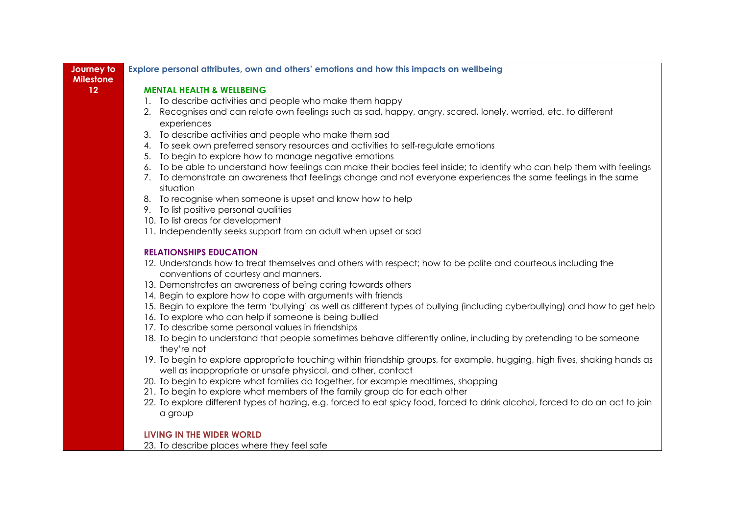| Journey to<br><b>Milestone</b> | Explore personal attributes, own and others' emotions and how this impacts on wellbeing                                                                                                   |
|--------------------------------|-------------------------------------------------------------------------------------------------------------------------------------------------------------------------------------------|
| 12                             | <b>MENTAL HEALTH &amp; WELLBEING</b>                                                                                                                                                      |
|                                | 1. To describe activities and people who make them happy                                                                                                                                  |
|                                | 2. Recognises and can relate own feelings such as sad, happy, angry, scared, lonely, worried, etc. to different                                                                           |
|                                | experiences                                                                                                                                                                               |
|                                | 3. To describe activities and people who make them sad                                                                                                                                    |
|                                | 4. To seek own preferred sensory resources and activities to self-regulate emotions                                                                                                       |
|                                | 5. To begin to explore how to manage negative emotions                                                                                                                                    |
|                                | 6. To be able to understand how feelings can make their bodies feel inside; to identify who can help them with feelings                                                                   |
|                                | 7. To demonstrate an awareness that feelings change and not everyone experiences the same feelings in the same                                                                            |
|                                | situation                                                                                                                                                                                 |
|                                | 8. To recognise when someone is upset and know how to help                                                                                                                                |
|                                | 9. To list positive personal qualities                                                                                                                                                    |
|                                | 10. To list areas for development                                                                                                                                                         |
|                                | 11. Independently seeks support from an adult when upset or sad                                                                                                                           |
|                                | <b>RELATIONSHIPS EDUCATION</b>                                                                                                                                                            |
|                                | 12. Understands how to treat themselves and others with respect; how to be polite and courteous including the                                                                             |
|                                | conventions of courtesy and manners.                                                                                                                                                      |
|                                | 13. Demonstrates an awareness of being caring towards others                                                                                                                              |
|                                | 14. Begin to explore how to cope with arguments with friends                                                                                                                              |
|                                | 15. Begin to explore the term 'bullying' as well as different types of bullying (including cyberbullying) and how to get help                                                             |
|                                | 16. To explore who can help if someone is being bullied                                                                                                                                   |
|                                | 17. To describe some personal values in friendships                                                                                                                                       |
|                                | 18. To begin to understand that people sometimes behave differently online, including by pretending to be someone                                                                         |
|                                | they're not                                                                                                                                                                               |
|                                | 19. To begin to explore appropriate touching within friendship groups, for example, hugging, high fives, shaking hands as<br>well as inappropriate or unsafe physical, and other, contact |
|                                | 20. To begin to explore what families do together, for example mealtimes, shopping                                                                                                        |
|                                | 21. To begin to explore what members of the family group do for each other                                                                                                                |
|                                | 22. To explore different types of hazing, e.g. forced to eat spicy food, forced to drink alcohol, forced to do an act to join                                                             |
|                                | a group                                                                                                                                                                                   |
|                                |                                                                                                                                                                                           |
|                                | LIVING IN THE WIDER WORLD                                                                                                                                                                 |
|                                | 23. To describe places where they feel safe                                                                                                                                               |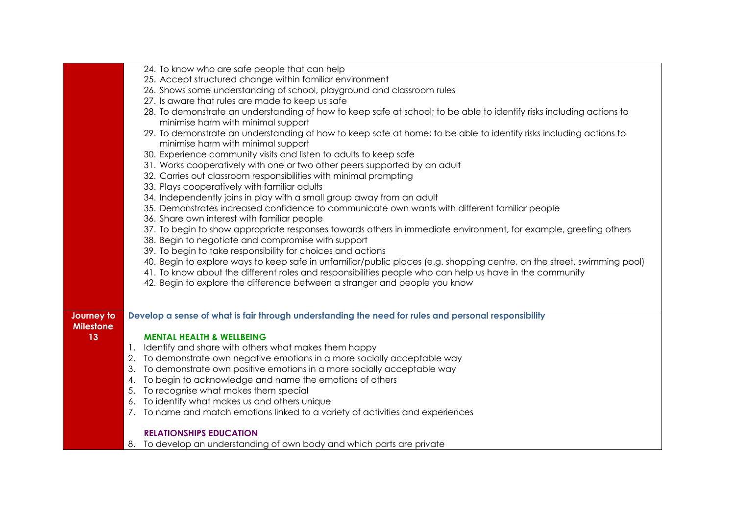|                  | 24. To know who are safe people that can help                                                                           |
|------------------|-------------------------------------------------------------------------------------------------------------------------|
|                  | 25. Accept structured change within familiar environment                                                                |
|                  | 26. Shows some understanding of school, playground and classroom rules                                                  |
|                  | 27. Is aware that rules are made to keep us safe                                                                        |
|                  | 28. To demonstrate an understanding of how to keep safe at school; to be able to identify risks including actions to    |
|                  | minimise harm with minimal support                                                                                      |
|                  | 29. To demonstrate an understanding of how to keep safe at home; to be able to identify risks including actions to      |
|                  | minimise harm with minimal support                                                                                      |
|                  | 30. Experience community visits and listen to adults to keep safe                                                       |
|                  | 31. Works cooperatively with one or two other peers supported by an adult                                               |
|                  | 32. Carries out classroom responsibilities with minimal prompting                                                       |
|                  | 33. Plays cooperatively with familiar adults                                                                            |
|                  | 34. Independently joins in play with a small group away from an adult                                                   |
|                  | 35. Demonstrates increased confidence to communicate own wants with different familiar people                           |
|                  | 36. Share own interest with familiar people                                                                             |
|                  | 37. To begin to show appropriate responses towards others in immediate environment, for example, greeting others        |
|                  | 38. Begin to negotiate and compromise with support                                                                      |
|                  | 39. To begin to take responsibility for choices and actions                                                             |
|                  | 40. Begin to explore ways to keep safe in unfamiliar/public places (e.g. shopping centre, on the street, swimming pool) |
|                  | 41. To know about the different roles and responsibilities people who can help us have in the community                 |
|                  | 42. Begin to explore the difference between a stranger and people you know                                              |
|                  |                                                                                                                         |
|                  |                                                                                                                         |
| Journey to       | Develop a sense of what is fair through understanding the need for rules and personal responsibility                    |
| <b>Milestone</b> |                                                                                                                         |
| 13               | <b>MENTAL HEALTH &amp; WELLBEING</b>                                                                                    |
|                  | 1. Identify and share with others what makes them happy                                                                 |
|                  | 2. To demonstrate own negative emotions in a more socially acceptable way                                               |
|                  | 3. To demonstrate own positive emotions in a more socially acceptable way                                               |
|                  | 4. To begin to acknowledge and name the emotions of others                                                              |
|                  | 5. To recognise what makes them special                                                                                 |
|                  |                                                                                                                         |
|                  | 6. To identify what makes us and others unique                                                                          |
|                  | 7. To name and match emotions linked to a variety of activities and experiences                                         |
|                  | <b>RELATIONSHIPS EDUCATION</b>                                                                                          |
|                  | 8. To develop an understanding of own body and which parts are private                                                  |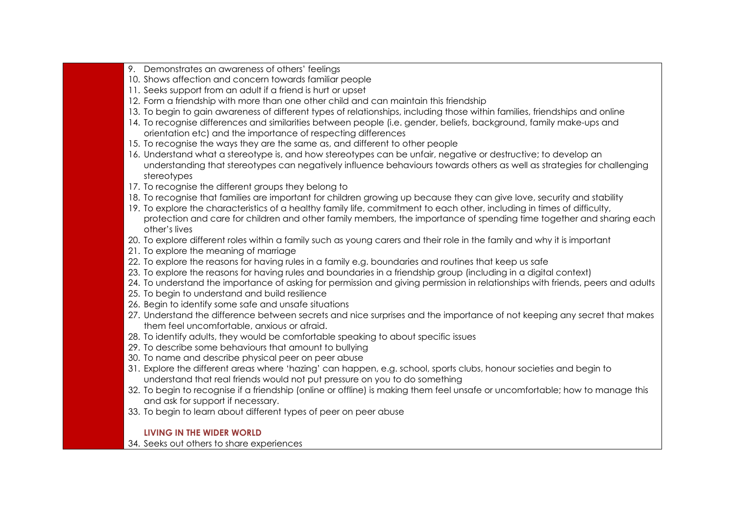- 9. Demonstrates an awareness of others' feelings
- 10. Shows affection and concern towards familiar people
- 11. Seeks support from an adult if a friend is hurt or upset
- 12. Form a friendship with more than one other child and can maintain this friendship
- 13. To begin to gain awareness of different types of relationships, including those within families, friendships and online
- 14. To recognise differences and similarities between people (i.e. gender, beliefs, background, family make-ups and orientation etc) and the importance of respecting differences
- 15. To recognise the ways they are the same as, and different to other people
- 16. Understand what a stereotype is, and how stereotypes can be unfair, negative or destructive; to develop an understanding that stereotypes can negatively influence behaviours towards others as well as strategies for challenging stereotypes
- 17. To recognise the different groups they belong to
- 18. To recognise that families are important for children growing up because they can give love, security and stability
- 19. To explore the characteristics of a healthy family life, commitment to each other, including in times of difficulty, protection and care for children and other family members, the importance of spending time together and sharing each other's lives
- 20. To explore different roles within a family such as young carers and their role in the family and why it is important
- 21. To explore the meaning of marriage
- 22. To explore the reasons for having rules in a family e.g. boundaries and routines that keep us safe
- 23. To explore the reasons for having rules and boundaries in a friendship group (including in a digital context)
- 24. To understand the importance of asking for permission and giving permission in relationships with friends, peers and adults
- 25. To begin to understand and build resilience
- 26. Begin to identify some safe and unsafe situations
- 27. Understand the difference between secrets and nice surprises and the importance of not keeping any secret that makes them feel uncomfortable, anxious or afraid.
- 28. To identify adults, they would be comfortable speaking to about specific issues
- 29. To describe some behaviours that amount to bullying
- 30. To name and describe physical peer on peer abuse
- 31. Explore the different areas where 'hazing' can happen, e.g. school, sports clubs, honour societies and begin to understand that real friends would not put pressure on you to do something
- 32. To begin to recognise if a friendship (online or offline) is making them feel unsafe or uncomfortable; how to manage this and ask for support if necessary.
- 33. To begin to learn about different types of peer on peer abuse

### **LIVING IN THE WIDER WORLD**

34. Seeks out others to share experiences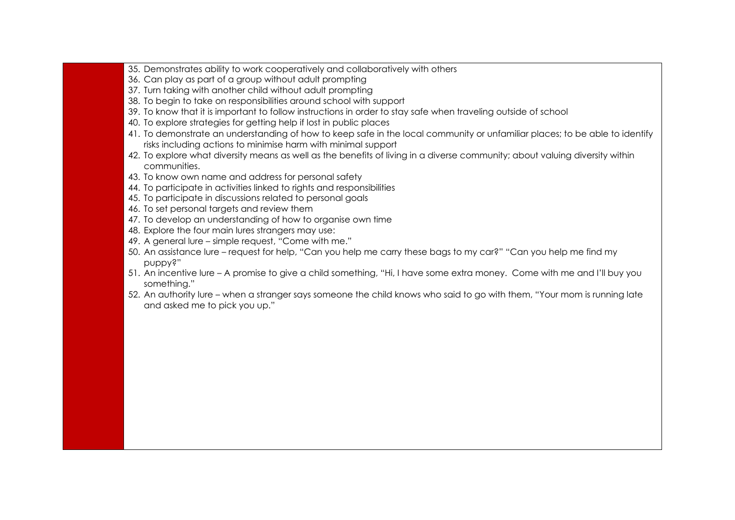- 35. Demonstrates ability to work cooperatively and collaboratively with others
- 36. Can play as part of a group without adult prompting
- 37. Turn taking with another child without adult prompting
- 38. To begin to take on responsibilities around school with support
- 39. To know that it is important to follow instructions in order to stay safe when traveling outside of school
- 40. To explore strategies for getting help if lost in public places
- 41. To demonstrate an understanding of how to keep safe in the local community or unfamiliar places; to be able to identify risks including actions to minimise harm with minimal support
- 42. To explore what diversity means as well as the benefits of living in a diverse community; about valuing diversity within communities.
- 43. To know own name and address for personal safety
- 44. To participate in activities linked to rights and responsibilities
- 45. To participate in discussions related to personal goals
- 46. To set personal targets and review them
- 47. To develop an understanding of how to organise own time
- 48. Explore the four main lures strangers may use:
- 49. A general lure simple request, "Come with me."
- 50. An assistance lure request for help, "Can you help me carry these bags to my car?" "Can you help me find my puppy?"
- 51. An incentive lure A promise to give a child something, "Hi, I have some extra money. Come with me and I'll buy you something."
- 52. An authority lure when a stranger says someone the child knows who said to go with them, "Your mom is running late and asked me to pick you up."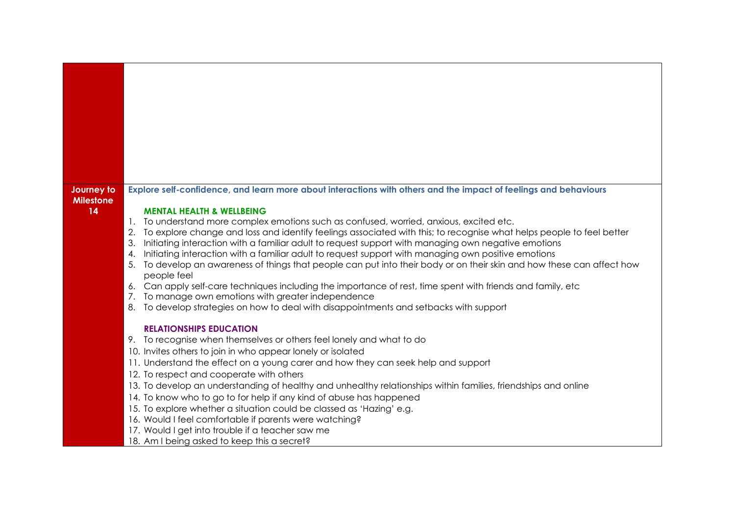| Journey to<br><b>Milestone</b> | Explore self-confidence, and learn more about interactions with others and the impact of feelings and behaviours                                                                                                                  |
|--------------------------------|-----------------------------------------------------------------------------------------------------------------------------------------------------------------------------------------------------------------------------------|
| 14                             | <b>MENTAL HEALTH &amp; WELLBEING</b>                                                                                                                                                                                              |
|                                | To understand more complex emotions such as confused, worried, anxious, excited etc.<br>$\mathbf{1}$ .                                                                                                                            |
|                                | To explore change and loss and identify feelings associated with this; to recognise what helps people to feel better<br>3.<br>Initiating interaction with a familiar adult to request support with managing own negative emotions |
|                                | Initiating interaction with a familiar adult to request support with managing own positive emotions<br>4.                                                                                                                         |
|                                | To develop an awareness of things that people can put into their body or on their skin and how these can affect how<br>5.<br>people feel                                                                                          |
|                                | 6. Can apply self-care techniques including the importance of rest, time spent with friends and family, etc                                                                                                                       |
|                                | 7. To manage own emotions with greater independence                                                                                                                                                                               |
|                                | 8. To develop strategies on how to deal with disappointments and setbacks with support                                                                                                                                            |
|                                | <b>RELATIONSHIPS EDUCATION</b>                                                                                                                                                                                                    |
|                                | 9. To recognise when themselves or others feel lonely and what to do                                                                                                                                                              |
|                                | 10. Invites others to join in who appear lonely or isolated                                                                                                                                                                       |
|                                | 11. Understand the effect on a young carer and how they can seek help and support                                                                                                                                                 |
|                                | 12. To respect and cooperate with others<br>13. To develop an understanding of healthy and unhealthy relationships within families, friendships and online                                                                        |
|                                | 14. To know who to go to for help if any kind of abuse has happened                                                                                                                                                               |
|                                | 15. To explore whether a situation could be classed as 'Hazing' e.g.                                                                                                                                                              |
|                                | 16. Would I feel comfortable if parents were watching?                                                                                                                                                                            |
|                                | 17. Would I get into trouble if a teacher saw me                                                                                                                                                                                  |
|                                | 18. Am I being asked to keep this a secret?                                                                                                                                                                                       |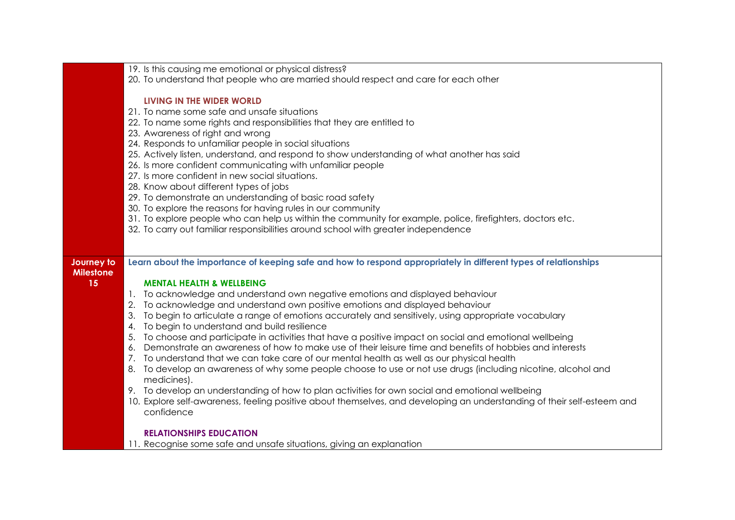|                                | 19. Is this causing me emotional or physical distress?                                                                  |
|--------------------------------|-------------------------------------------------------------------------------------------------------------------------|
|                                | 20. To understand that people who are married should respect and care for each other                                    |
|                                |                                                                                                                         |
|                                | LIVING IN THE WIDER WORLD                                                                                               |
|                                | 21. To name some safe and unsafe situations                                                                             |
|                                | 22. To name some rights and responsibilities that they are entitled to                                                  |
|                                | 23. Awareness of right and wrong                                                                                        |
|                                | 24. Responds to unfamiliar people in social situations                                                                  |
|                                | 25. Actively listen, understand, and respond to show understanding of what another has said                             |
|                                | 26. Is more confident communicating with unfamiliar people                                                              |
|                                | 27. Is more confident in new social situations.                                                                         |
|                                | 28. Know about different types of jobs                                                                                  |
|                                | 29. To demonstrate an understanding of basic road safety                                                                |
|                                | 30. To explore the reasons for having rules in our community                                                            |
|                                | 31. To explore people who can help us within the community for example, police, firefighters, doctors etc.              |
|                                | 32. To carry out familiar responsibilities around school with greater independence                                      |
|                                |                                                                                                                         |
|                                |                                                                                                                         |
| Journey to<br><b>Milestone</b> | Learn about the importance of keeping safe and how to respond appropriately in different types of relationships         |
| 15                             | <b>MENTAL HEALTH &amp; WELLBEING</b>                                                                                    |
|                                | 1. To acknowledge and understand own negative emotions and displayed behaviour                                          |
|                                | To acknowledge and understand own positive emotions and displayed behaviour<br>2.                                       |
|                                | To begin to articulate a range of emotions accurately and sensitively, using appropriate vocabulary<br>3.               |
|                                | To begin to understand and build resilience<br>4.                                                                       |
|                                | To choose and participate in activities that have a positive impact on social and emotional wellbeing<br>5.             |
|                                | Demonstrate an awareness of how to make use of their leisure time and benefits of hobbies and interests<br>6.           |
|                                | To understand that we can take care of our mental health as well as our physical health<br>7.                           |
|                                | 8. To develop an awareness of why some people choose to use or not use drugs (including nicotine, alcohol and           |
|                                | medicines).                                                                                                             |
|                                | 9. To develop an understanding of how to plan activities for own social and emotional wellbeing                         |
|                                | 10. Explore self-awareness, feeling positive about themselves, and developing an understanding of their self-esteem and |
|                                | confidence                                                                                                              |
|                                |                                                                                                                         |
|                                | <b>RELATIONSHIPS EDUCATION</b>                                                                                          |
|                                | 11. Recognise some safe and unsafe situations, giving an explanation                                                    |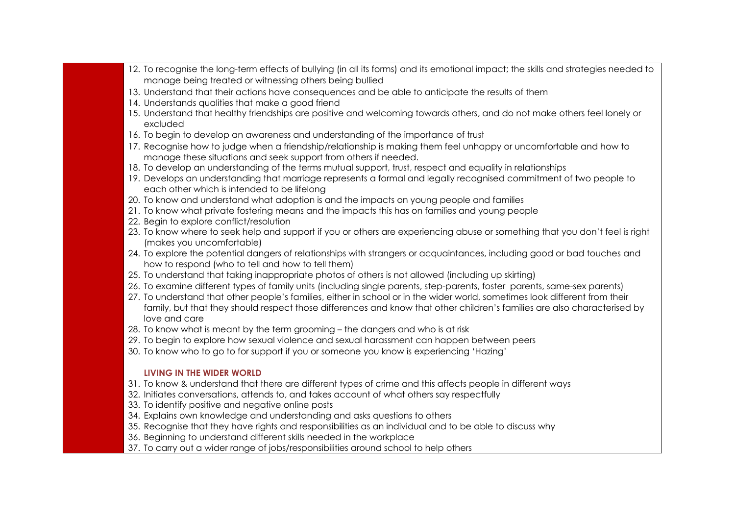- 12. To recognise the long-term effects of bullying (in all its forms) and its emotional impact; the skills and strategies needed to manage being treated or witnessing others being bullied
- 13. Understand that their actions have consequences and be able to anticipate the results of them
- 14. Understands qualities that make a good friend
- 15. Understand that healthy friendships are positive and welcoming towards others, and do not make others feel lonely or excluded
- 16. To begin to develop an awareness and understanding of the importance of trust
- 17. Recognise how to judge when a friendship/relationship is making them feel unhappy or uncomfortable and how to manage these situations and seek support from others if needed.
- 18. To develop an understanding of the terms mutual support, trust, respect and equality in relationships
- 19. Develops an understanding that marriage represents a formal and legally recognised commitment of two people to each other which is intended to be lifelong
- 20. To know and understand what adoption is and the impacts on young people and families
- 21. To know what private fostering means and the impacts this has on families and young people
- 22. Begin to explore conflict/resolution
- 23. To know where to seek help and support if you or others are experiencing abuse or something that you don't feel is right (makes you uncomfortable)
- 24. To explore the potential dangers of relationships with strangers or acquaintances, including good or bad touches and how to respond (who to tell and how to tell them)
- 25. To understand that taking inappropriate photos of others is not allowed (including up skirting)
- 26. To examine different types of family units (including single parents, step-parents, foster parents, same-sex parents)
- 27. To understand that other people's families, either in school or in the wider world, sometimes look different from their family, but that they should respect those differences and know that other children's families are also characterised by love and care
- 28. To know what is meant by the term grooming the dangers and who is at risk
- 29. To begin to explore how sexual violence and sexual harassment can happen between peers
- 30. To know who to go to for support if you or someone you know is experiencing 'Hazing'

- 31. To know & understand that there are different types of crime and this affects people in different ways
- 32. Initiates conversations, attends to, and takes account of what others say respectfully
- 33. To identify positive and negative online posts
- 34. Explains own knowledge and understanding and asks questions to others
- 35. Recognise that they have rights and responsibilities as an individual and to be able to discuss why
- 36. Beginning to understand different skills needed in the workplace
- 37. To carry out a wider range of jobs/responsibilities around school to help others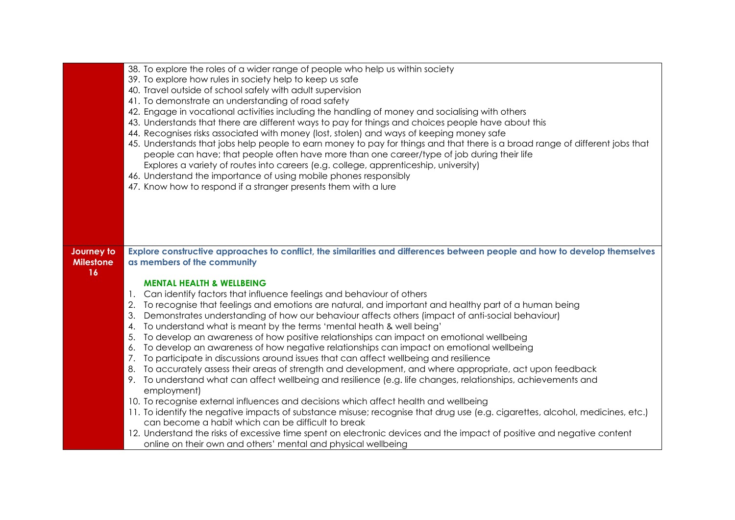|                                | 38. To explore the roles of a wider range of people who help us within society<br>39. To explore how rules in society help to keep us safe<br>40. Travel outside of school safely with adult supervision<br>41. To demonstrate an understanding of road safety<br>42. Engage in vocational activities including the handling of money and socialising with others<br>43. Understands that there are different ways to pay for things and choices people have about this<br>44. Recognises risks associated with money (lost, stolen) and ways of keeping money safe<br>45. Understands that jobs help people to earn money to pay for things and that there is a broad range of different jobs that<br>people can have; that people often have more than one career/type of job during their life<br>Explores a variety of routes into careers (e.g. college, apprenticeship, university)<br>46. Understand the importance of using mobile phones responsibly                                                                                                                                                                                                                                                                                                                                                                                                                                                                             |
|--------------------------------|-------------------------------------------------------------------------------------------------------------------------------------------------------------------------------------------------------------------------------------------------------------------------------------------------------------------------------------------------------------------------------------------------------------------------------------------------------------------------------------------------------------------------------------------------------------------------------------------------------------------------------------------------------------------------------------------------------------------------------------------------------------------------------------------------------------------------------------------------------------------------------------------------------------------------------------------------------------------------------------------------------------------------------------------------------------------------------------------------------------------------------------------------------------------------------------------------------------------------------------------------------------------------------------------------------------------------------------------------------------------------------------------------------------------------------------------|
|                                | 47. Know how to respond if a stranger presents them with a lure                                                                                                                                                                                                                                                                                                                                                                                                                                                                                                                                                                                                                                                                                                                                                                                                                                                                                                                                                                                                                                                                                                                                                                                                                                                                                                                                                                           |
|                                |                                                                                                                                                                                                                                                                                                                                                                                                                                                                                                                                                                                                                                                                                                                                                                                                                                                                                                                                                                                                                                                                                                                                                                                                                                                                                                                                                                                                                                           |
| Journey to<br><b>Milestone</b> | Explore constructive approaches to conflict, the similarities and differences between people and how to develop themselves<br>as members of the community                                                                                                                                                                                                                                                                                                                                                                                                                                                                                                                                                                                                                                                                                                                                                                                                                                                                                                                                                                                                                                                                                                                                                                                                                                                                                 |
| 16                             | <b>MENTAL HEALTH &amp; WELLBEING</b><br>1. Can identify factors that influence feelings and behaviour of others<br>2. To recognise that feelings and emotions are natural, and important and healthy part of a human being<br>Demonstrates understanding of how our behaviour affects others (impact of anti-social behaviour)<br>3.<br>To understand what is meant by the terms 'mental heath & well being'<br>4.<br>To develop an awareness of how positive relationships can impact on emotional wellbeing<br>5.<br>To develop an awareness of how negative relationships can impact on emotional wellbeing<br>6.<br>7. To participate in discussions around issues that can affect wellbeing and resilience<br>To accurately assess their areas of strength and development, and where appropriate, act upon feedback<br>8.<br>9. To understand what can affect wellbeing and resilience (e.g. life changes, relationships, achievements and<br>employment)<br>10. To recognise external influences and decisions which affect health and wellbeing<br>11. To identify the negative impacts of substance misuse; recognise that drug use (e.g. cigarettes, alcohol, medicines, etc.)<br>can become a habit which can be difficult to break<br>12. Understand the risks of excessive time spent on electronic devices and the impact of positive and negative content<br>online on their own and others' mental and physical wellbeing |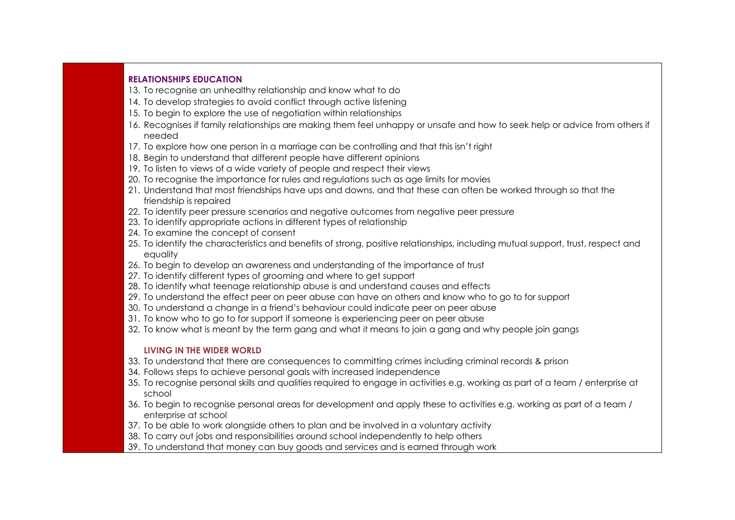#### **RELATIONSHIPS EDUCATION**

- 13. To recognise an unhealthy relationship and know what to do
- 14. To develop strategies to avoid conflict through active listening
- 15. To begin to explore the use of negotiation within relationships
- 16. Recognises if family relationships are making them feel unhappy or unsafe and how to seek help or advice from others if needed
- 17. To explore how one person in a marriage can be controlling and that this isn't right
- 18. Begin to understand that different people have different opinions
- 19. To listen to views of a wide variety of people and respect their views
- 20. To recognise the importance for rules and regulations such as age limits for movies
- 21. Understand that most friendships have ups and downs, and that these can often be worked through so that the friendship is repaired
- 22. To identify peer pressure scenarios and negative outcomes from negative peer pressure
- 23. To identify appropriate actions in different types of relationship
- 24. To examine the concept of consent
- 25. To identify the characteristics and benefits of strong, positive relationships, including mutual support, trust, respect and equality
- 26. To begin to develop an awareness and understanding of the importance of trust
- 27. To identify different types of grooming and where to get support
- 28. To identify what teenage relationship abuse is and understand causes and effects
- 29. To understand the effect peer on peer abuse can have on others and know who to go to for support
- 30. To understand a change in a friend's behaviour could indicate peer on peer abuse
- 31. To know who to go to for support if someone is experiencing peer on peer abuse
- 32. To know what is meant by the term gang and what it means to join a gang and why people join gangs

- 33. To understand that there are consequences to committing crimes including criminal records & prison
- 34. Follows steps to achieve personal goals with increased independence
- 35. To recognise personal skills and qualities required to engage in activities e.g. working as part of a team / enterprise at school
- 36. To begin to recognise personal areas for development and apply these to activities e.g. working as part of a team / enterprise at school
- 37. To be able to work alongside others to plan and be involved in a voluntary activity
- 38. To carry out jobs and responsibilities around school independently to help others
- 39. To understand that money can buy goods and services and is earned through work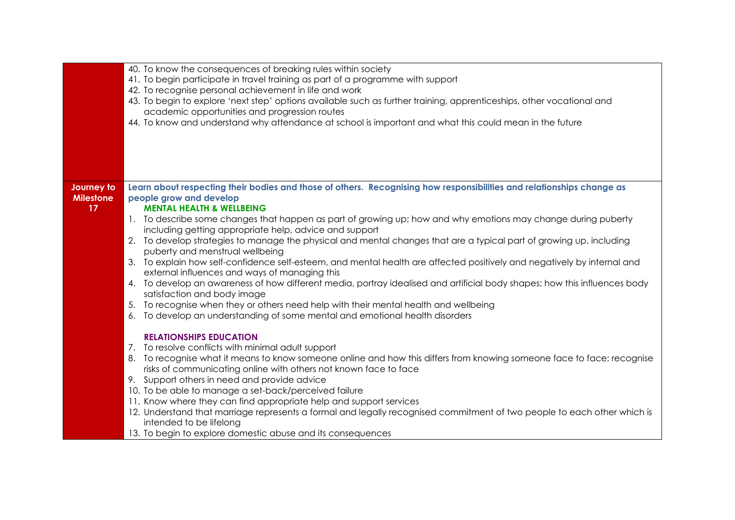|                  | 40. To know the consequences of breaking rules within society<br>41. To begin participate in travel training as part of a programme with support<br>42. To recognise personal achievement in life and work |
|------------------|------------------------------------------------------------------------------------------------------------------------------------------------------------------------------------------------------------|
|                  | 43. To begin to explore 'next step' options available such as further training, apprenticeships, other vocational and                                                                                      |
|                  | academic opportunities and progression routes<br>44. To know and understand why attendance at school is important and what this could mean in the future                                                   |
|                  |                                                                                                                                                                                                            |
|                  |                                                                                                                                                                                                            |
|                  |                                                                                                                                                                                                            |
|                  |                                                                                                                                                                                                            |
| Journey to       | Learn about respecting their bodies and those of others. Recognising how responsibilities and relationships change as                                                                                      |
| <b>Milestone</b> | people grow and develop                                                                                                                                                                                    |
| 17               | <b>MENTAL HEALTH &amp; WELLBEING</b>                                                                                                                                                                       |
|                  | 1. To describe some changes that happen as part of growing up; how and why emotions may change during puberty                                                                                              |
|                  | including getting appropriate help, advice and support                                                                                                                                                     |
|                  | To develop strategies to manage the physical and mental changes that are a typical part of growing up, including<br>2.<br>puberty and menstrual wellbeing                                                  |
|                  | To explain how self-confidence self-esteem, and mental health are affected positively and negatively by internal and<br>3.                                                                                 |
|                  | external influences and ways of managing this                                                                                                                                                              |
|                  | 4. To develop an awareness of how different media, portray idealised and artificial body shapes; how this influences body                                                                                  |
|                  | satisfaction and body image                                                                                                                                                                                |
|                  | 5. To recognise when they or others need help with their mental health and wellbeing                                                                                                                       |
|                  | To develop an understanding of some mental and emotional health disorders<br>6.                                                                                                                            |
|                  | <b>RELATIONSHIPS EDUCATION</b>                                                                                                                                                                             |
|                  | 7. To resolve conflicts with minimal adult support                                                                                                                                                         |
|                  | To recognise what it means to know someone online and how this differs from knowing someone face to face; recognise<br>8.                                                                                  |
|                  | risks of communicating online with others not known face to face                                                                                                                                           |
|                  | 9. Support others in need and provide advice                                                                                                                                                               |
|                  | 10. To be able to manage a set-back/perceived failure<br>11. Know where they can find appropriate help and support services                                                                                |
|                  | 12. Understand that marriage represents a formal and legally recognised commitment of two people to each other which is                                                                                    |
|                  | intended to be lifelong                                                                                                                                                                                    |
|                  | 13. To begin to explore domestic abuse and its consequences                                                                                                                                                |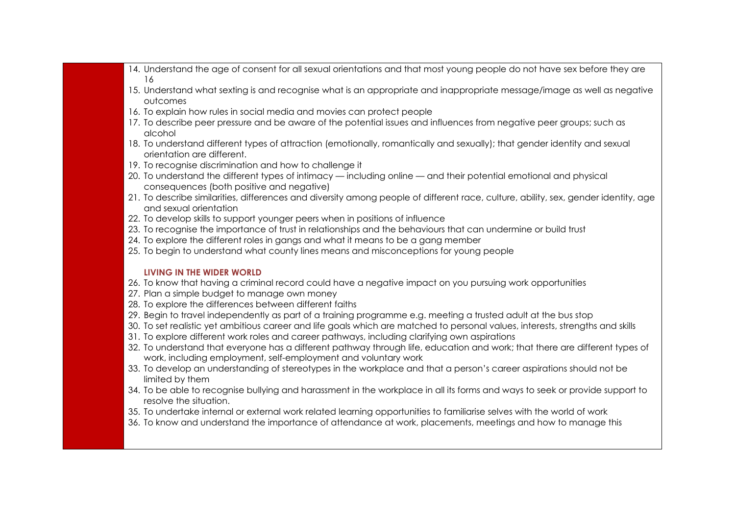- 14. Understand the age of consent for all sexual orientations and that most young people do not have sex before they are 16
- 15. Understand what sexting is and recognise what is an appropriate and inappropriate message/image as well as negative outcomes
- 16. To explain how rules in social media and movies can protect people
- 17. To describe peer pressure and be aware of the potential issues and influences from negative peer groups; such as alcohol
- 18. To understand different types of attraction (emotionally, romantically and sexually); that gender identity and sexual orientation are different.
- 19. To recognise discrimination and how to challenge it
- 20. To understand the different types of intimacy including online and their potential emotional and physical consequences (both positive and negative)
- 21. To describe similarities, differences and diversity among people of different race, culture, ability, sex, gender identity, age and sexual orientation
- 22. To develop skills to support younger peers when in positions of influence
- 23. To recognise the importance of trust in relationships and the behaviours that can undermine or build trust
- 24. To explore the different roles in gangs and what it means to be a gang member
- 25. To begin to understand what county lines means and misconceptions for young people

- 26. To know that having a criminal record could have a negative impact on you pursuing work opportunities
- 27. Plan a simple budget to manage own money
- 28. To explore the differences between different faiths
- 29. Begin to travel independently as part of a training programme e.g. meeting a trusted adult at the bus stop
- 30. To set realistic yet ambitious career and life goals which are matched to personal values, interests, strengths and skills
- 31. To explore different work roles and career pathways, including clarifying own aspirations
- 32. To understand that everyone has a different pathway through life, education and work; that there are different types of work, including employment, self-employment and voluntary work
- 33. To develop an understanding of stereotypes in the workplace and that a person's career aspirations should not be limited by them
- 34. To be able to recognise bullying and harassment in the workplace in all its forms and ways to seek or provide support to resolve the situation.
- 35. To undertake internal or external work related learning opportunities to familiarise selves with the world of work
- 36. To know and understand the importance of attendance at work, placements, meetings and how to manage this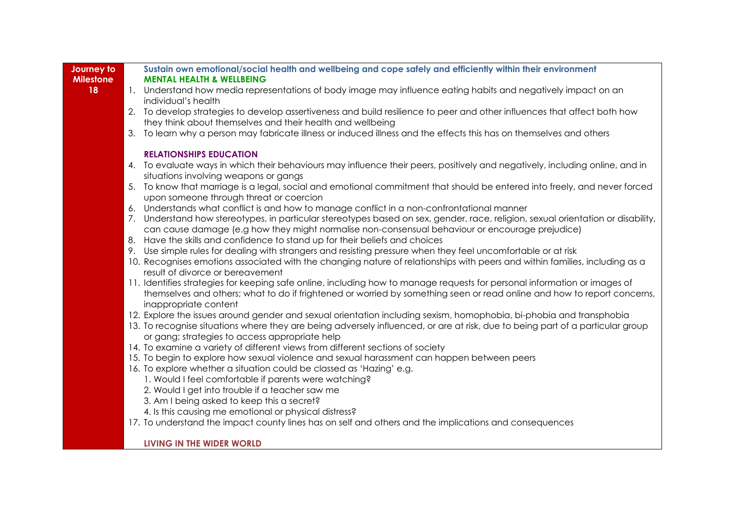| Journey to       | Sustain own emotional/social health and wellbeing and cope safely and efficiently within their environment                                                           |
|------------------|----------------------------------------------------------------------------------------------------------------------------------------------------------------------|
| <b>Milestone</b> | <b>MENTAL HEALTH &amp; WELLBEING</b>                                                                                                                                 |
| 18               | 1. Understand how media representations of body image may influence eating habits and negatively impact on an                                                        |
|                  | individual's health                                                                                                                                                  |
|                  | 2. To develop strategies to develop assertiveness and build resilience to peer and other influences that affect both how                                             |
|                  | they think about themselves and their health and wellbeing                                                                                                           |
|                  | 3. To learn why a person may fabricate illness or induced illness and the effects this has on themselves and others                                                  |
|                  | <b>RELATIONSHIPS EDUCATION</b>                                                                                                                                       |
|                  | 4. To evaluate ways in which their behaviours may influence their peers, positively and negatively, including online, and in                                         |
|                  | situations involving weapons or gangs                                                                                                                                |
|                  | 5. To know that marriage is a legal, social and emotional commitment that should be entered into freely, and never forced<br>upon someone through threat or coercion |
|                  | 6. Understands what conflict is and how to manage conflict in a non-confrontational manner                                                                           |
|                  | 7. Understand how stereotypes, in particular stereotypes based on sex, gender, race, religion, sexual orientation or disability,                                     |
|                  | can cause damage (e.g how they might normalise non-consensual behaviour or encourage prejudice)                                                                      |
|                  | 8. Have the skills and confidence to stand up for their beliefs and choices                                                                                          |
|                  | 9. Use simple rules for dealing with strangers and resisting pressure when they feel uncomfortable or at risk                                                        |
|                  | 10. Recognises emotions associated with the changing nature of relationships with peers and within families, including as a                                          |
|                  | result of divorce or bereavement                                                                                                                                     |
|                  | 11. Identifies strategies for keeping safe online, including how to manage requests for personal information or images of                                            |
|                  | themselves and others; what to do if frightened or worried by something seen or read online and how to report concerns,                                              |
|                  | inappropriate content                                                                                                                                                |
|                  | 12. Explore the issues around gender and sexual orientation including sexism, homophobia, bi-phobia and transphobia                                                  |
|                  | 13. To recognise situations where they are being adversely influenced, or are at risk, due to being part of a particular group                                       |
|                  | or gang; strategies to access appropriate help                                                                                                                       |
|                  | 14. To examine a variety of different views from different sections of society                                                                                       |
|                  | 15. To begin to explore how sexual violence and sexual harassment can happen between peers                                                                           |
|                  | 16. To explore whether a situation could be classed as 'Hazing' e.g.                                                                                                 |
|                  | 1. Would I feel comfortable if parents were watching?                                                                                                                |
|                  | 2. Would I get into trouble if a teacher saw me                                                                                                                      |
|                  | 3. Am I being asked to keep this a secret?                                                                                                                           |
|                  | 4. Is this causing me emotional or physical distress?                                                                                                                |
|                  | 17. To understand the impact county lines has on self and others and the implications and consequences                                                               |
|                  | LIVING IN THE WIDER WORLD                                                                                                                                            |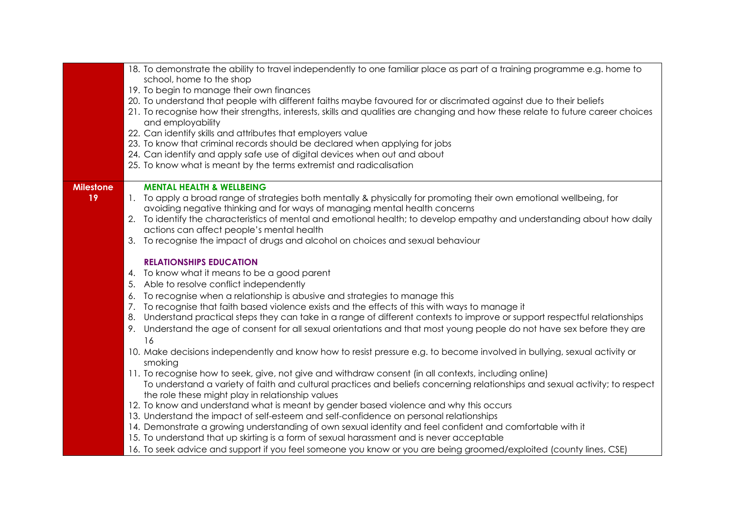| school, home to the shop<br>19. To begin to manage their own finances<br>20. To understand that people with different faiths maybe favoured for or discrimated against due to their beliefs<br>21. To recognise how their strengths, interests, skills and qualities are changing and how these relate to future career choices<br>and employability<br>22. Can identify skills and attributes that employers value<br>23. To know that criminal records should be declared when applying for jobs<br>24. Can identify and apply safe use of digital devices when out and about<br>25. To know what is meant by the terms extremist and radicalisation<br><b>MENTAL HEALTH &amp; WELLBEING</b><br><b>Milestone</b><br>19<br>1. To apply a broad range of strategies both mentally & physically for promoting their own emotional wellbeing, for<br>avoiding negative thinking and for ways of managing mental health concerns<br>2. To identify the characteristics of mental and emotional health; to develop empathy and understanding about how daily<br>actions can affect people's mental health<br>3. To recognise the impact of drugs and alcohol on choices and sexual behaviour<br><b>RELATIONSHIPS EDUCATION</b><br>4. To know what it means to be a good parent<br>Able to resolve conflict independently<br>5.<br>To recognise when a relationship is abusive and strategies to manage this<br>6.<br>To recognise that faith based violence exists and the effects of this with ways to manage it<br>7.<br>Understand practical steps they can take in a range of different contexts to improve or support respectful relationships<br>8.<br>Understand the age of consent for all sexual orientations and that most young people do not have sex before they are<br>9.<br>16<br>10. Make decisions independently and know how to resist pressure e.g. to become involved in bullying, sexual activity or<br>smoking |
|----------------------------------------------------------------------------------------------------------------------------------------------------------------------------------------------------------------------------------------------------------------------------------------------------------------------------------------------------------------------------------------------------------------------------------------------------------------------------------------------------------------------------------------------------------------------------------------------------------------------------------------------------------------------------------------------------------------------------------------------------------------------------------------------------------------------------------------------------------------------------------------------------------------------------------------------------------------------------------------------------------------------------------------------------------------------------------------------------------------------------------------------------------------------------------------------------------------------------------------------------------------------------------------------------------------------------------------------------------------------------------------------------------------------------------------------------------------------------------------------------------------------------------------------------------------------------------------------------------------------------------------------------------------------------------------------------------------------------------------------------------------------------------------------------------------------------------------------------------------------------------------------------------------------------------|
|                                                                                                                                                                                                                                                                                                                                                                                                                                                                                                                                                                                                                                                                                                                                                                                                                                                                                                                                                                                                                                                                                                                                                                                                                                                                                                                                                                                                                                                                                                                                                                                                                                                                                                                                                                                                                                                                                                                                  |
|                                                                                                                                                                                                                                                                                                                                                                                                                                                                                                                                                                                                                                                                                                                                                                                                                                                                                                                                                                                                                                                                                                                                                                                                                                                                                                                                                                                                                                                                                                                                                                                                                                                                                                                                                                                                                                                                                                                                  |
|                                                                                                                                                                                                                                                                                                                                                                                                                                                                                                                                                                                                                                                                                                                                                                                                                                                                                                                                                                                                                                                                                                                                                                                                                                                                                                                                                                                                                                                                                                                                                                                                                                                                                                                                                                                                                                                                                                                                  |
|                                                                                                                                                                                                                                                                                                                                                                                                                                                                                                                                                                                                                                                                                                                                                                                                                                                                                                                                                                                                                                                                                                                                                                                                                                                                                                                                                                                                                                                                                                                                                                                                                                                                                                                                                                                                                                                                                                                                  |
|                                                                                                                                                                                                                                                                                                                                                                                                                                                                                                                                                                                                                                                                                                                                                                                                                                                                                                                                                                                                                                                                                                                                                                                                                                                                                                                                                                                                                                                                                                                                                                                                                                                                                                                                                                                                                                                                                                                                  |
|                                                                                                                                                                                                                                                                                                                                                                                                                                                                                                                                                                                                                                                                                                                                                                                                                                                                                                                                                                                                                                                                                                                                                                                                                                                                                                                                                                                                                                                                                                                                                                                                                                                                                                                                                                                                                                                                                                                                  |
|                                                                                                                                                                                                                                                                                                                                                                                                                                                                                                                                                                                                                                                                                                                                                                                                                                                                                                                                                                                                                                                                                                                                                                                                                                                                                                                                                                                                                                                                                                                                                                                                                                                                                                                                                                                                                                                                                                                                  |
|                                                                                                                                                                                                                                                                                                                                                                                                                                                                                                                                                                                                                                                                                                                                                                                                                                                                                                                                                                                                                                                                                                                                                                                                                                                                                                                                                                                                                                                                                                                                                                                                                                                                                                                                                                                                                                                                                                                                  |
|                                                                                                                                                                                                                                                                                                                                                                                                                                                                                                                                                                                                                                                                                                                                                                                                                                                                                                                                                                                                                                                                                                                                                                                                                                                                                                                                                                                                                                                                                                                                                                                                                                                                                                                                                                                                                                                                                                                                  |
|                                                                                                                                                                                                                                                                                                                                                                                                                                                                                                                                                                                                                                                                                                                                                                                                                                                                                                                                                                                                                                                                                                                                                                                                                                                                                                                                                                                                                                                                                                                                                                                                                                                                                                                                                                                                                                                                                                                                  |
|                                                                                                                                                                                                                                                                                                                                                                                                                                                                                                                                                                                                                                                                                                                                                                                                                                                                                                                                                                                                                                                                                                                                                                                                                                                                                                                                                                                                                                                                                                                                                                                                                                                                                                                                                                                                                                                                                                                                  |
|                                                                                                                                                                                                                                                                                                                                                                                                                                                                                                                                                                                                                                                                                                                                                                                                                                                                                                                                                                                                                                                                                                                                                                                                                                                                                                                                                                                                                                                                                                                                                                                                                                                                                                                                                                                                                                                                                                                                  |
|                                                                                                                                                                                                                                                                                                                                                                                                                                                                                                                                                                                                                                                                                                                                                                                                                                                                                                                                                                                                                                                                                                                                                                                                                                                                                                                                                                                                                                                                                                                                                                                                                                                                                                                                                                                                                                                                                                                                  |
|                                                                                                                                                                                                                                                                                                                                                                                                                                                                                                                                                                                                                                                                                                                                                                                                                                                                                                                                                                                                                                                                                                                                                                                                                                                                                                                                                                                                                                                                                                                                                                                                                                                                                                                                                                                                                                                                                                                                  |
|                                                                                                                                                                                                                                                                                                                                                                                                                                                                                                                                                                                                                                                                                                                                                                                                                                                                                                                                                                                                                                                                                                                                                                                                                                                                                                                                                                                                                                                                                                                                                                                                                                                                                                                                                                                                                                                                                                                                  |
|                                                                                                                                                                                                                                                                                                                                                                                                                                                                                                                                                                                                                                                                                                                                                                                                                                                                                                                                                                                                                                                                                                                                                                                                                                                                                                                                                                                                                                                                                                                                                                                                                                                                                                                                                                                                                                                                                                                                  |
|                                                                                                                                                                                                                                                                                                                                                                                                                                                                                                                                                                                                                                                                                                                                                                                                                                                                                                                                                                                                                                                                                                                                                                                                                                                                                                                                                                                                                                                                                                                                                                                                                                                                                                                                                                                                                                                                                                                                  |
|                                                                                                                                                                                                                                                                                                                                                                                                                                                                                                                                                                                                                                                                                                                                                                                                                                                                                                                                                                                                                                                                                                                                                                                                                                                                                                                                                                                                                                                                                                                                                                                                                                                                                                                                                                                                                                                                                                                                  |
|                                                                                                                                                                                                                                                                                                                                                                                                                                                                                                                                                                                                                                                                                                                                                                                                                                                                                                                                                                                                                                                                                                                                                                                                                                                                                                                                                                                                                                                                                                                                                                                                                                                                                                                                                                                                                                                                                                                                  |
|                                                                                                                                                                                                                                                                                                                                                                                                                                                                                                                                                                                                                                                                                                                                                                                                                                                                                                                                                                                                                                                                                                                                                                                                                                                                                                                                                                                                                                                                                                                                                                                                                                                                                                                                                                                                                                                                                                                                  |
|                                                                                                                                                                                                                                                                                                                                                                                                                                                                                                                                                                                                                                                                                                                                                                                                                                                                                                                                                                                                                                                                                                                                                                                                                                                                                                                                                                                                                                                                                                                                                                                                                                                                                                                                                                                                                                                                                                                                  |
|                                                                                                                                                                                                                                                                                                                                                                                                                                                                                                                                                                                                                                                                                                                                                                                                                                                                                                                                                                                                                                                                                                                                                                                                                                                                                                                                                                                                                                                                                                                                                                                                                                                                                                                                                                                                                                                                                                                                  |
|                                                                                                                                                                                                                                                                                                                                                                                                                                                                                                                                                                                                                                                                                                                                                                                                                                                                                                                                                                                                                                                                                                                                                                                                                                                                                                                                                                                                                                                                                                                                                                                                                                                                                                                                                                                                                                                                                                                                  |
|                                                                                                                                                                                                                                                                                                                                                                                                                                                                                                                                                                                                                                                                                                                                                                                                                                                                                                                                                                                                                                                                                                                                                                                                                                                                                                                                                                                                                                                                                                                                                                                                                                                                                                                                                                                                                                                                                                                                  |
|                                                                                                                                                                                                                                                                                                                                                                                                                                                                                                                                                                                                                                                                                                                                                                                                                                                                                                                                                                                                                                                                                                                                                                                                                                                                                                                                                                                                                                                                                                                                                                                                                                                                                                                                                                                                                                                                                                                                  |
|                                                                                                                                                                                                                                                                                                                                                                                                                                                                                                                                                                                                                                                                                                                                                                                                                                                                                                                                                                                                                                                                                                                                                                                                                                                                                                                                                                                                                                                                                                                                                                                                                                                                                                                                                                                                                                                                                                                                  |
| 11. To recognise how to seek, give, not give and withdraw consent (in all contexts, including online)                                                                                                                                                                                                                                                                                                                                                                                                                                                                                                                                                                                                                                                                                                                                                                                                                                                                                                                                                                                                                                                                                                                                                                                                                                                                                                                                                                                                                                                                                                                                                                                                                                                                                                                                                                                                                            |
| To understand a variety of faith and cultural practices and beliefs concerning relationships and sexual activity; to respect                                                                                                                                                                                                                                                                                                                                                                                                                                                                                                                                                                                                                                                                                                                                                                                                                                                                                                                                                                                                                                                                                                                                                                                                                                                                                                                                                                                                                                                                                                                                                                                                                                                                                                                                                                                                     |
| the role these might play in relationship values                                                                                                                                                                                                                                                                                                                                                                                                                                                                                                                                                                                                                                                                                                                                                                                                                                                                                                                                                                                                                                                                                                                                                                                                                                                                                                                                                                                                                                                                                                                                                                                                                                                                                                                                                                                                                                                                                 |
| 12. To know and understand what is meant by gender based violence and why this occurs                                                                                                                                                                                                                                                                                                                                                                                                                                                                                                                                                                                                                                                                                                                                                                                                                                                                                                                                                                                                                                                                                                                                                                                                                                                                                                                                                                                                                                                                                                                                                                                                                                                                                                                                                                                                                                            |
| 13. Understand the impact of self-esteem and self-confidence on personal relationships                                                                                                                                                                                                                                                                                                                                                                                                                                                                                                                                                                                                                                                                                                                                                                                                                                                                                                                                                                                                                                                                                                                                                                                                                                                                                                                                                                                                                                                                                                                                                                                                                                                                                                                                                                                                                                           |
| 14. Demonstrate a growing understanding of own sexual identity and feel confident and comfortable with it                                                                                                                                                                                                                                                                                                                                                                                                                                                                                                                                                                                                                                                                                                                                                                                                                                                                                                                                                                                                                                                                                                                                                                                                                                                                                                                                                                                                                                                                                                                                                                                                                                                                                                                                                                                                                        |
| 15. To understand that up skirting is a form of sexual harassment and is never acceptable                                                                                                                                                                                                                                                                                                                                                                                                                                                                                                                                                                                                                                                                                                                                                                                                                                                                                                                                                                                                                                                                                                                                                                                                                                                                                                                                                                                                                                                                                                                                                                                                                                                                                                                                                                                                                                        |
| 16. To seek advice and support if you feel someone you know or you are being groomed/exploited (county lines, CSE)                                                                                                                                                                                                                                                                                                                                                                                                                                                                                                                                                                                                                                                                                                                                                                                                                                                                                                                                                                                                                                                                                                                                                                                                                                                                                                                                                                                                                                                                                                                                                                                                                                                                                                                                                                                                               |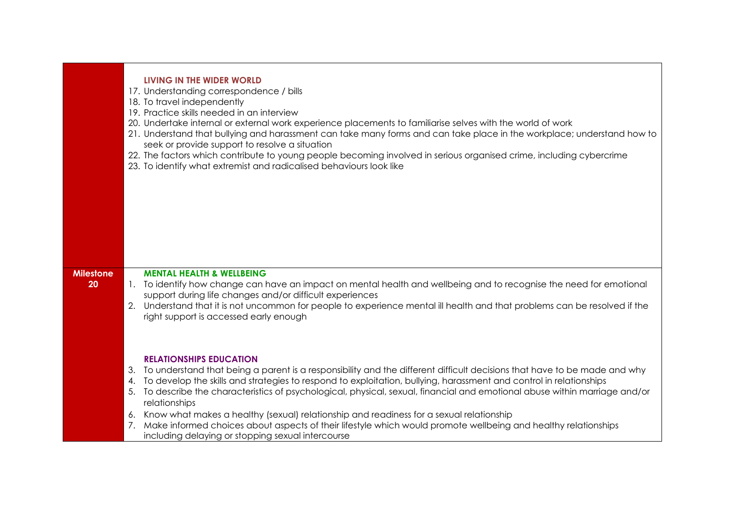|                        |                | LIVING IN THE WIDER WORLD<br>17. Understanding correspondence / bills<br>18. To travel independently<br>19. Practice skills needed in an interview<br>20. Undertake internal or external work experience placements to familiarise selves with the world of work<br>21. Understand that bullying and harassment can take many forms and can take place in the workplace; understand how to<br>seek or provide support to resolve a situation<br>22. The factors which contribute to young people becoming involved in serious organised crime, including cybercrime<br>23. To identify what extremist and radicalised behaviours look like |
|------------------------|----------------|--------------------------------------------------------------------------------------------------------------------------------------------------------------------------------------------------------------------------------------------------------------------------------------------------------------------------------------------------------------------------------------------------------------------------------------------------------------------------------------------------------------------------------------------------------------------------------------------------------------------------------------------|
| <b>Milestone</b><br>20 |                | <b>MENTAL HEALTH &amp; WELLBEING</b><br>1. To identify how change can have an impact on mental health and wellbeing and to recognise the need for emotional                                                                                                                                                                                                                                                                                                                                                                                                                                                                                |
|                        |                | support during life changes and/or difficult experiences                                                                                                                                                                                                                                                                                                                                                                                                                                                                                                                                                                                   |
|                        |                | 2. Understand that it is not uncommon for people to experience mental ill health and that problems can be resolved if the<br>right support is accessed early enough                                                                                                                                                                                                                                                                                                                                                                                                                                                                        |
|                        | 3.<br>4.<br>5. | <b>RELATIONSHIPS EDUCATION</b><br>To understand that being a parent is a responsibility and the different difficult decisions that have to be made and why<br>To develop the skills and strategies to respond to exploitation, bullying, harassment and control in relationships<br>To describe the characteristics of psychological, physical, sexual, financial and emotional abuse within marriage and/or<br>relationships<br>6. Know what makes a healthy (sexual) relationship and readiness for a sexual relationship                                                                                                                |
|                        | 7.             | Make informed choices about aspects of their lifestyle which would promote wellbeing and healthy relationships                                                                                                                                                                                                                                                                                                                                                                                                                                                                                                                             |
|                        |                | including delaying or stopping sexual intercourse                                                                                                                                                                                                                                                                                                                                                                                                                                                                                                                                                                                          |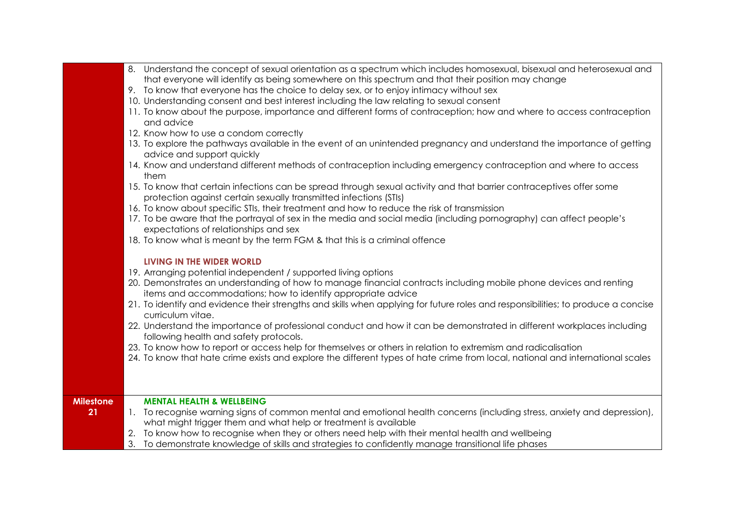|                  | 8. Understand the concept of sexual orientation as a spectrum which includes homosexual, bisexual and heterosexual and                                  |
|------------------|---------------------------------------------------------------------------------------------------------------------------------------------------------|
|                  | that everyone will identify as being somewhere on this spectrum and that their position may change                                                      |
|                  | 9. To know that everyone has the choice to delay sex, or to enjoy intimacy without sex                                                                  |
|                  | 10. Understanding consent and best interest including the law relating to sexual consent                                                                |
|                  | 11. To know about the purpose, importance and different forms of contraception; how and where to access contraception                                   |
|                  | and advice                                                                                                                                              |
|                  | 12. Know how to use a condom correctly                                                                                                                  |
|                  | 13. To explore the pathways available in the event of an unintended pregnancy and understand the importance of getting<br>advice and support quickly    |
|                  | 14. Know and understand different methods of contraception including emergency contraception and where to access<br>them                                |
|                  | 15. To know that certain infections can be spread through sexual activity and that barrier contraceptives offer some                                    |
|                  | protection against certain sexually transmitted infections (STIs)                                                                                       |
|                  | 16. To know about specific STIs, their treatment and how to reduce the risk of transmission                                                             |
|                  | 17. To be aware that the portrayal of sex in the media and social media (including pornography) can affect people's                                     |
|                  | expectations of relationships and sex                                                                                                                   |
|                  | 18. To know what is meant by the term FGM & that this is a criminal offence                                                                             |
|                  |                                                                                                                                                         |
|                  | <b>LIVING IN THE WIDER WORLD</b>                                                                                                                        |
|                  | 19. Arranging potential independent / supported living options                                                                                          |
|                  | 20. Demonstrates an understanding of how to manage financial contracts including mobile phone devices and renting                                       |
|                  | items and accommodations; how to identify appropriate advice                                                                                            |
|                  | 21. To identify and evidence their strengths and skills when applying for future roles and responsibilities; to produce a concise                       |
|                  | curriculum vitae.                                                                                                                                       |
|                  | 22. Understand the importance of professional conduct and how it can be demonstrated in different workplaces including                                  |
|                  | following health and safety protocols.<br>23. To know how to report or access help for themselves or others in relation to extremism and radicalisation |
|                  | 24. To know that hate crime exists and explore the different types of hate crime from local, national and international scales                          |
|                  |                                                                                                                                                         |
|                  |                                                                                                                                                         |
|                  |                                                                                                                                                         |
| <b>Milestone</b> | <b>MENTAL HEALTH &amp; WELLBEING</b>                                                                                                                    |
| 21               | 1. To recognise warning signs of common mental and emotional health concerns (including stress, anxiety and depression),                                |
|                  | what might trigger them and what help or treatment is available                                                                                         |
|                  | To know how to recognise when they or others need help with their mental health and wellbeing                                                           |
|                  | 3.<br>To demonstrate knowledge of skills and strategies to confidently manage transitional life phases                                                  |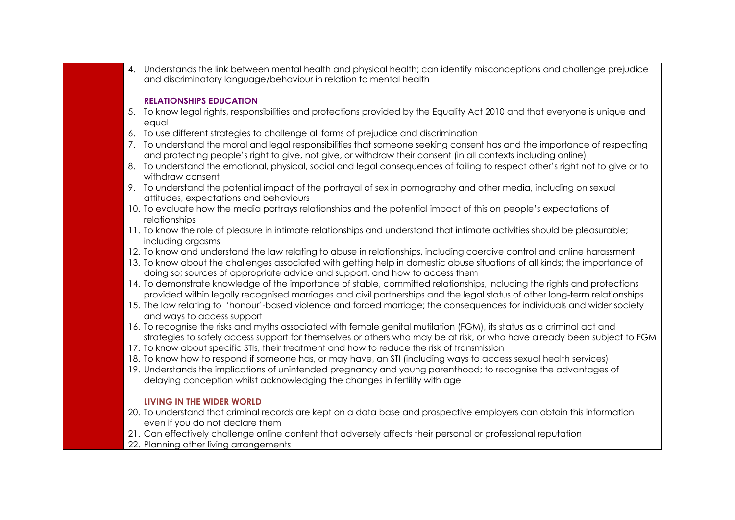4. Understands the link between mental health and physical health; can identify misconceptions and challenge prejudice and discriminatory language/behaviour in relation to mental health

#### **RELATIONSHIPS EDUCATION**

- 5. To know legal rights, responsibilities and protections provided by the Equality Act 2010 and that everyone is unique and equal
- 6. To use different strategies to challenge all forms of prejudice and discrimination
- 7. To understand the moral and legal responsibilities that someone seeking consent has and the importance of respecting and protecting people's right to give, not give, or withdraw their consent (in all contexts including online)
- 8. To understand the emotional, physical, social and legal consequences of failing to respect other's right not to give or to withdraw consent
- 9. To understand the potential impact of the portrayal of sex in pornography and other media, including on sexual attitudes, expectations and behaviours
- 10. To evaluate how the media portrays relationships and the potential impact of this on people's expectations of relationships
- 11. To know the role of pleasure in intimate relationships and understand that intimate activities should be pleasurable; including orgasms
- 12. To know and understand the law relating to abuse in relationships, including coercive control and online harassment
- 13. To know about the challenges associated with getting help in domestic abuse situations of all kinds; the importance of doing so; sources of appropriate advice and support, and how to access them
- 14. To demonstrate knowledge of the importance of stable, committed relationships, including the rights and protections provided within legally recognised marriages and civil partnerships and the legal status of other long-term relationships
- 15. The law relating to 'honour'-based violence and forced marriage; the consequences for individuals and wider society and ways to access support
- 16. To recognise the risks and myths associated with female genital mutilation (FGM), its status as a criminal act and strategies to safely access support for themselves or others who may be at risk, or who have already been subject to FGM
- 17. To know about specific STIs, their treatment and how to reduce the risk of transmission
- 18. To know how to respond if someone has, or may have, an STI (including ways to access sexual health services)
- 19. Understands the implications of unintended pregnancy and young parenthood; to recognise the advantages of delaying conception whilst acknowledging the changes in fertility with age

- 20. To understand that criminal records are kept on a data base and prospective employers can obtain this information even if you do not declare them
- 21. Can effectively challenge online content that adversely affects their personal or professional reputation
- 22. Planning other living arrangements